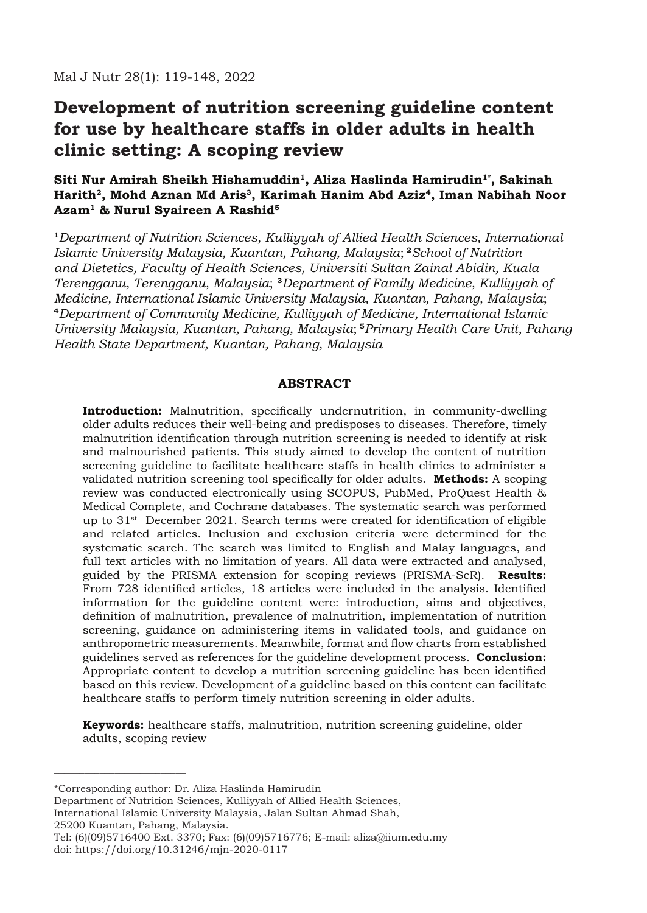# **Development of nutrition screening guideline content for use by healthcare staffs in older adults in health clinic setting: A scoping review**

## Siti Nur Amirah Sheikh Hishamuddin<sup>1</sup>, Aliza Haslinda Hamirudin<sup>1\*</sup>, Sakinah Harith<sup>2</sup>, Mohd Aznan Md Aris<sup>3</sup>, Karimah Hanim Abd Aziz<sup>4</sup>, Iman Nabihah Noor **Azam1 & Nurul Syaireen A Rashid5**

**<sup>1</sup>***Department of Nutrition Sciences, Kulliyyah of Allied Health Sciences, International Islamic University Malaysia, Kuantan, Pahang, Malaysia*; **<sup>2</sup>***School of Nutrition and Dietetics, Faculty of Health Sciences, Universiti Sultan Zainal Abidin, Kuala Terengganu, Terengganu, Malaysia*; **<sup>3</sup>***Department of Family Medicine, Kulliyyah of Medicine, International Islamic University Malaysia, Kuantan, Pahang, Malaysia*; **<sup>4</sup>***Department of Community Medicine, Kulliyyah of Medicine, International Islamic University Malaysia, Kuantan, Pahang, Malaysia*; **<sup>5</sup>***Primary Health Care Unit, Pahang Health State Department, Kuantan, Pahang, Malaysia*

#### **ABSTRACT**

**Introduction:** Malnutrition, specifically undernutrition, in community-dwelling older adults reduces their well-being and predisposes to diseases. Therefore, timely malnutrition identification through nutrition screening is needed to identify at risk and malnourished patients. This study aimed to develop the content of nutrition screening guideline to facilitate healthcare staffs in health clinics to administer a validated nutrition screening tool specifically for older adults. **Methods:** A scoping review was conducted electronically using SCOPUS, PubMed, ProQuest Health & Medical Complete, and Cochrane databases. The systematic search was performed up to  $31<sup>st</sup>$  December 2021. Search terms were created for identification of eligible and related articles. Inclusion and exclusion criteria were determined for the systematic search. The search was limited to English and Malay languages, and full text articles with no limitation of years. All data were extracted and analysed, guided by the PRISMA extension for scoping reviews (PRISMA-ScR). **Results:** From 728 identified articles, 18 articles were included in the analysis. Identified information for the guideline content were: introduction, aims and objectives, definition of malnutrition, prevalence of malnutrition, implementation of nutrition screening, guidance on administering items in validated tools, and guidance on anthropometric measurements. Meanwhile, format and flow charts from established guidelines served as references for the guideline development process. **Conclusion:** Appropriate content to develop a nutrition screening guideline has been identified based on this review. Development of a guideline based on this content can facilitate healthcare staffs to perform timely nutrition screening in older adults.

**Keywords:** healthcare staffs, malnutrition, nutrition screening guideline, older adults, scoping review

\*Corresponding author: Dr. Aliza Haslinda Hamirudin

Department of Nutrition Sciences, Kulliyyah of Allied Health Sciences,

International Islamic University Malaysia, Jalan Sultan Ahmad Shah,

25200 Kuantan, Pahang, Malaysia.

\_\_\_\_\_\_\_\_\_\_\_\_\_\_\_\_\_\_\_\_\_\_\_\_\_\_

Tel: (6)(09)5716400 Ext. 3370; Fax: (6)(09)5716776; E-mail: aliza@iium.edu.my doi: https://doi.org/10.31246/mjn-2020-0117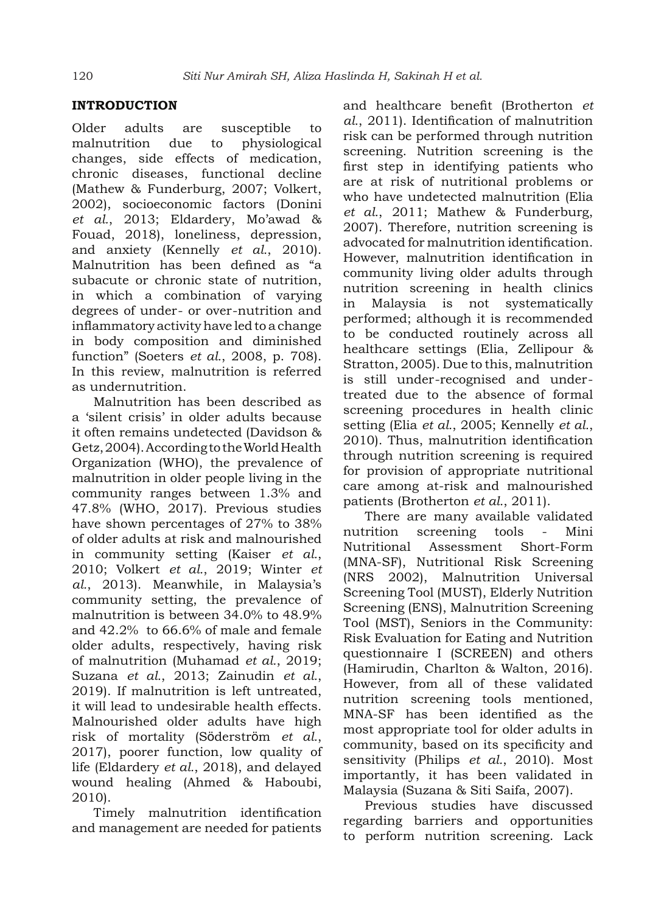## **INTRODUCTION**

Older adults are susceptible to malnutrition due to physiological changes, side effects of medication, chronic diseases, functional decline (Mathew & Funderburg, 2007; Volkert, 2002), socioeconomic factors (Donini *et al.*, 2013; Eldardery, Mo'awad & Fouad, 2018), loneliness, depression, and anxiety (Kennelly *et al.*, 2010). Malnutrition has been defined as "a subacute or chronic state of nutrition, in which a combination of varying degrees of under- or over-nutrition and inflammatory activity have led to a change in body composition and diminished function" (Soeters *et al.*, 2008, p. 708). In this review, malnutrition is referred as undernutrition.

Malnutrition has been described as a 'silent crisis' in older adults because it often remains undetected (Davidson & Getz, 2004). According to the World Health Organization (WHO), the prevalence of malnutrition in older people living in the community ranges between 1.3% and 47.8% (WHO, 2017). Previous studies have shown percentages of 27% to 38% of older adults at risk and malnourished in community setting (Kaiser *et al.*, 2010; Volkert *et al.*, 2019; Winter *et al.*, 2013). Meanwhile, in Malaysia's community setting, the prevalence of malnutrition is between 34.0% to 48.9% and 42.2% to 66.6% of male and female older adults, respectively, having risk of malnutrition (Muhamad *et al.*, 2019; Suzana *et al.*, 2013; Zainudin *et al.*, 2019). If malnutrition is left untreated, it will lead to undesirable health effects. Malnourished older adults have high risk of mortality (Söderström *et al.*, 2017), poorer function, low quality of life (Eldardery *et al.*, 2018), and delayed wound healing (Ahmed & Haboubi, 2010).

Timely malnutrition identification and management are needed for patients and healthcare benefit (Brotherton *et al.*, 2011). Identification of malnutrition risk can be performed through nutrition screening. Nutrition screening is the first step in identifying patients who are at risk of nutritional problems or who have undetected malnutrition (Elia *et al.*, 2011; Mathew & Funderburg, 2007). Therefore, nutrition screening is advocated for malnutrition identification. However, malnutrition identification in community living older adults through nutrition screening in health clinics in Malaysia is not systematically performed; although it is recommended to be conducted routinely across all healthcare settings (Elia, Zellipour & Stratton, 2005). Due to this, malnutrition is still under-recognised and undertreated due to the absence of formal screening procedures in health clinic setting (Elia *et al.*, 2005; Kennelly *et al.*, 2010). Thus, malnutrition identification through nutrition screening is required for provision of appropriate nutritional care among at-risk and malnourished patients (Brotherton *et al.*, 2011).

There are many available validated nutrition screening tools - Mini Nutritional Assessment Short-Form (MNA-SF), Nutritional Risk Screening (NRS 2002), Malnutrition Universal Screening Tool (MUST), Elderly Nutrition Screening (ENS), Malnutrition Screening Tool (MST), Seniors in the Community: Risk Evaluation for Eating and Nutrition questionnaire I (SCREEN) and others (Hamirudin, Charlton & Walton, 2016). However, from all of these validated nutrition screening tools mentioned, MNA-SF has been identified as the most appropriate tool for older adults in community, based on its specificity and sensitivity (Philips *et al.*, 2010). Most importantly, it has been validated in Malaysia (Suzana & Siti Saifa, 2007).

Previous studies have discussed regarding barriers and opportunities to perform nutrition screening. Lack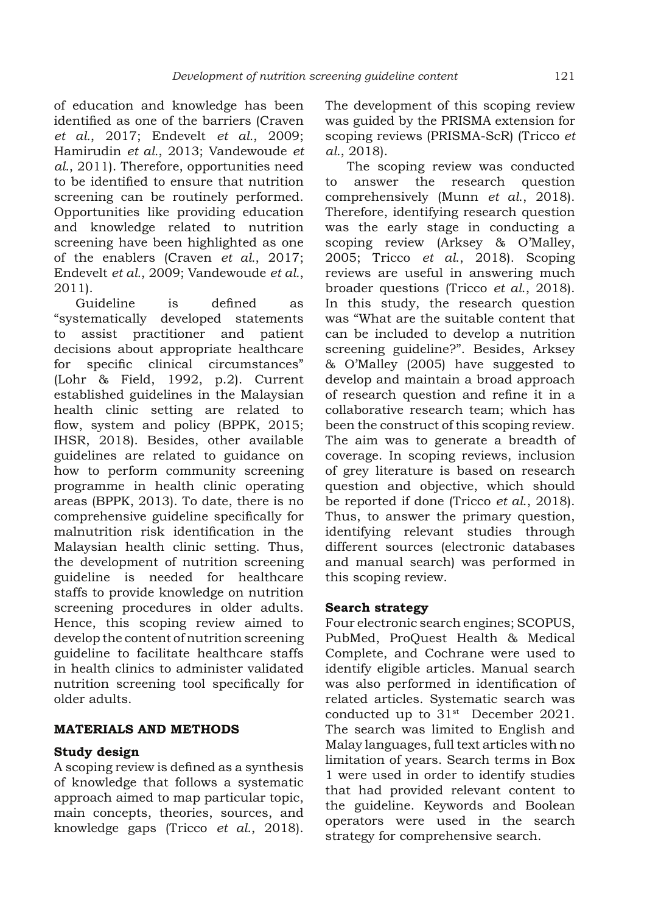of education and knowledge has been identified as one of the barriers (Craven *et al.*, 2017; Endevelt *et al.*, 2009; Hamirudin *et al.*, 2013; Vandewoude *et al.*, 2011). Therefore, opportunities need to be identified to ensure that nutrition screening can be routinely performed. Opportunities like providing education and knowledge related to nutrition screening have been highlighted as one of the enablers (Craven *et al.*, 2017; Endevelt *et al.*, 2009; Vandewoude *et al.*, 2011).

Guideline is defined as "systematically developed statements to assist practitioner and patient decisions about appropriate healthcare for specific clinical circumstances" (Lohr & Field, 1992, p.2). Current established guidelines in the Malaysian health clinic setting are related to flow, system and policy (BPPK, 2015; IHSR, 2018). Besides, other available guidelines are related to guidance on how to perform community screening programme in health clinic operating areas (BPPK, 2013). To date, there is no comprehensive guideline specifically for malnutrition risk identification in the Malaysian health clinic setting. Thus, the development of nutrition screening guideline is needed for healthcare staffs to provide knowledge on nutrition screening procedures in older adults. Hence, this scoping review aimed to develop the content of nutrition screening guideline to facilitate healthcare staffs in health clinics to administer validated nutrition screening tool specifically for older adults.

## **MATERIALS AND METHODS**

## **Study design**

A scoping review is defined as a synthesis of knowledge that follows a systematic approach aimed to map particular topic, main concepts, theories, sources, and knowledge gaps (Tricco *et al*., 2018).

The development of this scoping review was guided by the PRISMA extension for scoping reviews (PRISMA-ScR) (Tricco *et al.*, 2018).

The scoping review was conducted to answer the research question comprehensively (Munn *et al*., 2018). Therefore, identifying research question was the early stage in conducting a scoping review (Arksey & O'Malley, 2005; Tricco *et al*., 2018). Scoping reviews are useful in answering much broader questions (Tricco *et al*., 2018). In this study, the research question was "What are the suitable content that can be included to develop a nutrition screening guideline?". Besides, Arksey & O'Malley (2005) have suggested to develop and maintain a broad approach of research question and refine it in a collaborative research team; which has been the construct of this scoping review. The aim was to generate a breadth of coverage. In scoping reviews, inclusion of grey literature is based on research question and objective, which should be reported if done (Tricco *et al*., 2018). Thus, to answer the primary question, identifying relevant studies through different sources (electronic databases and manual search) was performed in this scoping review.

#### **Search strategy**

Four electronic search engines; SCOPUS, PubMed, ProQuest Health & Medical Complete, and Cochrane were used to identify eligible articles. Manual search was also performed in identification of related articles. Systematic search was conducted up to  $31<sup>st</sup>$  December 2021. The search was limited to English and Malay languages, full text articles with no limitation of years. Search terms in Box 1 were used in order to identify studies that had provided relevant content to the guideline. Keywords and Boolean operators were used in the search strategy for comprehensive search.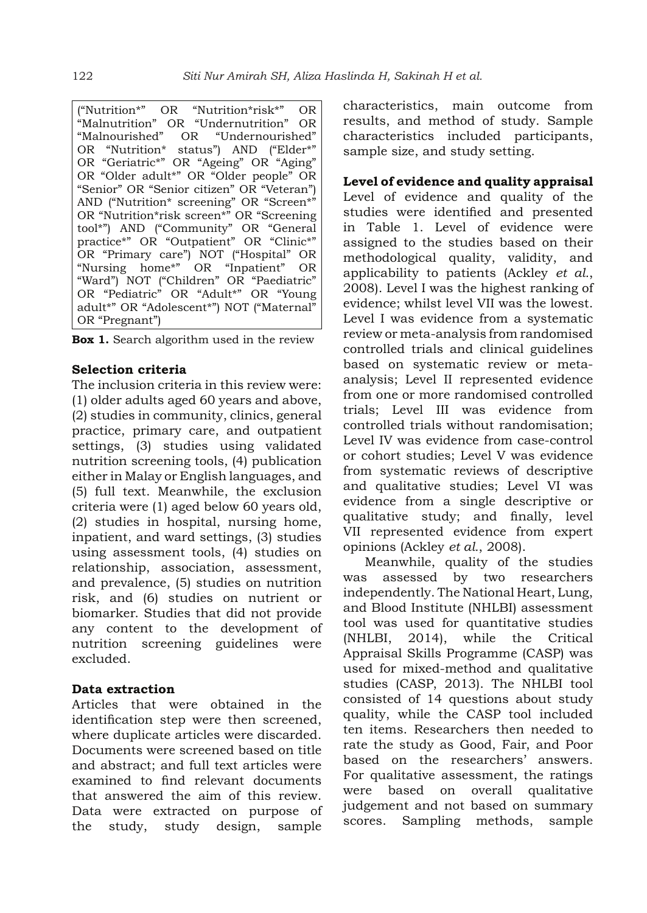("Nutrition\*" OR "Nutrition\*risk\*" OR "Malnutrition" OR "Undernutrition" OR "Malnourished" OR "Undernourished" OR "Nutrition\* status") AND ("Elder\*" OR "Geriatric\*" OR "Ageing" OR "Aging" OR "Older adult\*" OR "Older people" OR "Senior" OR "Senior citizen" OR "Veteran") AND ("Nutrition\* screening" OR "Screen\*" OR "Nutrition\*risk screen\*" OR "Screening tool\*") AND ("Community" OR "General practice\*" OR "Outpatient" OR "Clinic\*" OR "Primary care") NOT ("Hospital" OR "Nursing home\*" OR "Inpatient" OR "Ward") NOT ("Children" OR "Paediatric" OR "Pediatric" OR "Adult\*" OR "Young adult\*" OR "Adolescent\*") NOT ("Maternal" OR "Pregnant")

**Box 1.** Search algorithm used in the review

#### **Selection criteria**

The inclusion criteria in this review were: (1) older adults aged 60 years and above, (2) studies in community, clinics, general practice, primary care, and outpatient settings, (3) studies using validated nutrition screening tools, (4) publication either in Malay or English languages, and (5) full text. Meanwhile, the exclusion criteria were (1) aged below 60 years old, (2) studies in hospital, nursing home, inpatient, and ward settings, (3) studies using assessment tools, (4) studies on relationship, association, assessment, and prevalence, (5) studies on nutrition risk, and (6) studies on nutrient or biomarker. Studies that did not provide any content to the development of nutrition screening guidelines were excluded.

#### **Data extraction**

Articles that were obtained in the identification step were then screened, where duplicate articles were discarded. Documents were screened based on title and abstract; and full text articles were examined to find relevant documents that answered the aim of this review. Data were extracted on purpose of the study, study design, sample characteristics, main outcome from results, and method of study. Sample characteristics included participants, sample size, and study setting.

#### **Level of evidence and quality appraisal**

Level of evidence and quality of the studies were identified and presented in Table 1. Level of evidence were assigned to the studies based on their methodological quality, validity, and applicability to patients (Ackley *et al.*, 2008). Level I was the highest ranking of evidence; whilst level VII was the lowest. Level I was evidence from a systematic review or meta-analysis from randomised controlled trials and clinical guidelines based on systematic review or metaanalysis; Level II represented evidence from one or more randomised controlled trials; Level III was evidence from controlled trials without randomisation; Level IV was evidence from case-control or cohort studies; Level V was evidence from systematic reviews of descriptive and qualitative studies; Level VI was evidence from a single descriptive or qualitative study; and finally, level VII represented evidence from expert opinions (Ackley *et al.*, 2008).

Meanwhile, quality of the studies was assessed by two researchers independently. The National Heart, Lung, and Blood Institute (NHLBI) assessment tool was used for quantitative studies (NHLBI, 2014), while the Critical Appraisal Skills Programme (CASP) was used for mixed-method and qualitative studies (CASP, 2013). The NHLBI tool consisted of 14 questions about study quality, while the CASP tool included ten items. Researchers then needed to rate the study as Good, Fair, and Poor based on the researchers' answers. For qualitative assessment, the ratings were based on overall qualitative judgement and not based on summary scores. Sampling methods, sample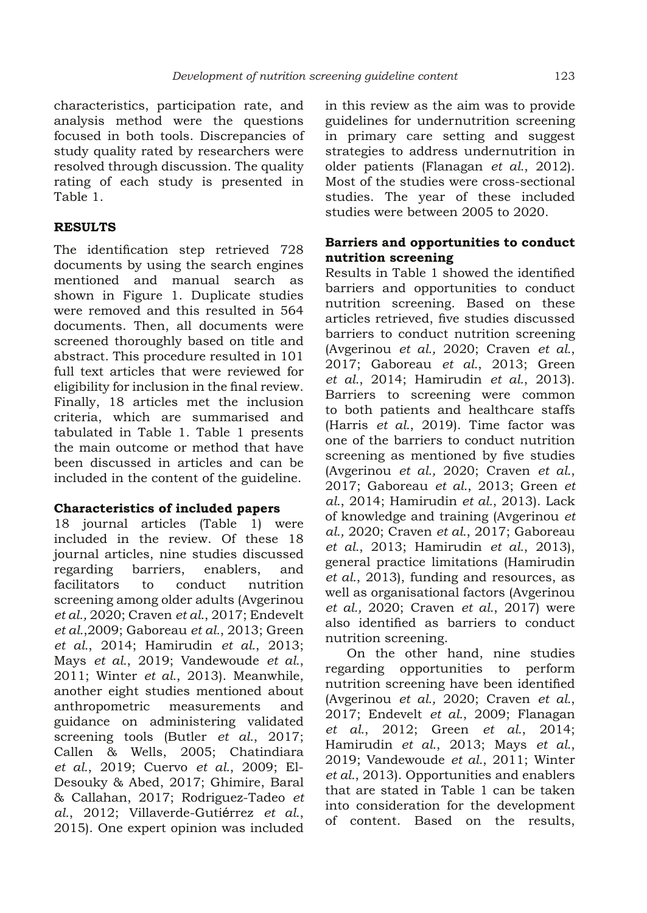characteristics, participation rate, and analysis method were the questions focused in both tools. Discrepancies of study quality rated by researchers were resolved through discussion. The quality rating of each study is presented in Table 1.

## **RESULTS**

The identification step retrieved 728 documents by using the search engines mentioned and manual search as shown in Figure 1. Duplicate studies were removed and this resulted in 564 documents. Then, all documents were screened thoroughly based on title and abstract. This procedure resulted in 101 full text articles that were reviewed for eligibility for inclusion in the final review. Finally, 18 articles met the inclusion criteria, which are summarised and tabulated in Table 1. Table 1 presents the main outcome or method that have been discussed in articles and can be included in the content of the guideline.

## **Characteristics of included papers**

18 journal articles (Table 1) were included in the review. Of these 18 journal articles, nine studies discussed regarding barriers, enablers, and facilitators to conduct nutrition screening among older adults (Avgerinou *et al.,* 2020; Craven *et al.*, 2017; Endevelt *et al.*,2009; Gaboreau *et al.*, 2013; Green *et al.*, 2014; Hamirudin *et al.*, 2013; Mays *et al.*, 2019; Vandewoude *et al.*, 2011; Winter *et al.*, 2013). Meanwhile, another eight studies mentioned about anthropometric measurements and guidance on administering validated screening tools (Butler *et al.*, 2017; Callen & Wells, 2005; Chatindiara *et al.*, 2019; Cuervo *et al.*, 2009; El-Desouky & Abed, 2017; Ghimire, Baral & Callahan, 2017; Rodriguez-Tadeo *et al.*, 2012; Villaverde-Gutiérrez *et al.*, 2015). One expert opinion was included in this review as the aim was to provide guidelines for undernutrition screening in primary care setting and suggest strategies to address undernutrition in older patients (Flanagan *et al.*, 2012). Most of the studies were cross-sectional studies. The year of these included studies were between 2005 to 2020.

## **Barriers and opportunities to conduct nutrition screening**

Results in Table 1 showed the identified barriers and opportunities to conduct nutrition screening. Based on these articles retrieved, five studies discussed barriers to conduct nutrition screening (Avgerinou *et al.,* 2020; Craven *et al.*, 2017; Gaboreau *et al.*, 2013; Green *et al.*, 2014; Hamirudin *et al.*, 2013). Barriers to screening were common to both patients and healthcare staffs (Harris *et al.*, 2019). Time factor was one of the barriers to conduct nutrition screening as mentioned by five studies (Avgerinou *et al.,* 2020; Craven *et al.*, 2017; Gaboreau *et al.*, 2013; Green *et al.*, 2014; Hamirudin *et al.*, 2013). Lack of knowledge and training (Avgerinou *et al.,* 2020; Craven *et al.*, 2017; Gaboreau *et al.*, 2013; Hamirudin *et al.*, 2013), general practice limitations (Hamirudin *et al.*, 2013), funding and resources, as well as organisational factors (Avgerinou *et al.,* 2020; Craven *et al.*, 2017) were also identified as barriers to conduct nutrition screening.

On the other hand, nine studies regarding opportunities to perform nutrition screening have been identified (Avgerinou *et al.,* 2020; Craven *et al.*, 2017; Endevelt *et al.*, 2009; Flanagan *et al.*, 2012; Green *et al.*, 2014; Hamirudin *et al.*, 2013; Mays *et al.*, 2019; Vandewoude *et al.*, 2011; Winter *et al.*, 2013). Opportunities and enablers that are stated in Table 1 can be taken into consideration for the development of content. Based on the results,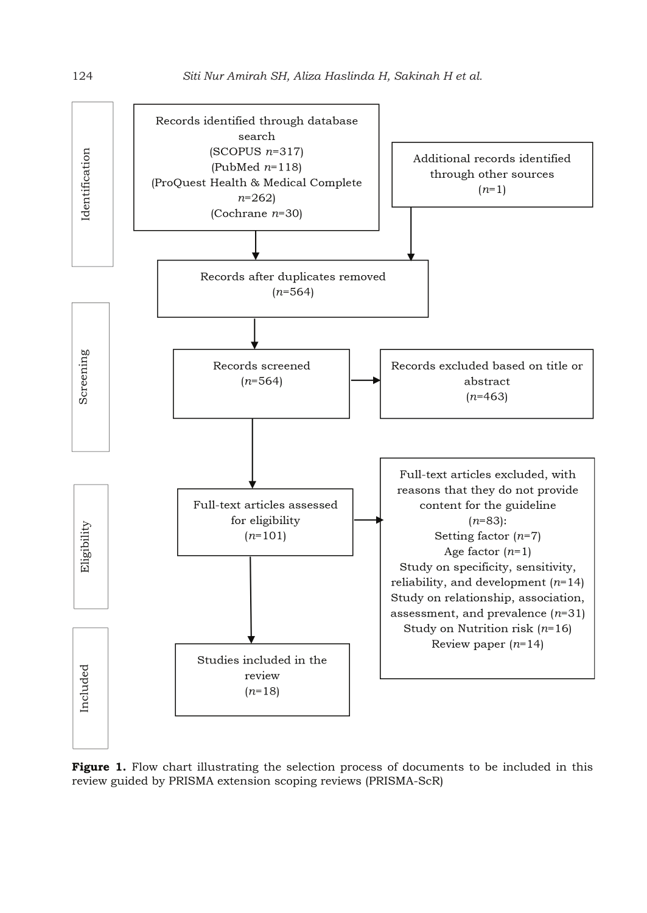

**Figure 1.** Flow chart illustrating the selection process of documents to be included in this review guided by PRISMA extension scoping reviews (PRISMA-ScR)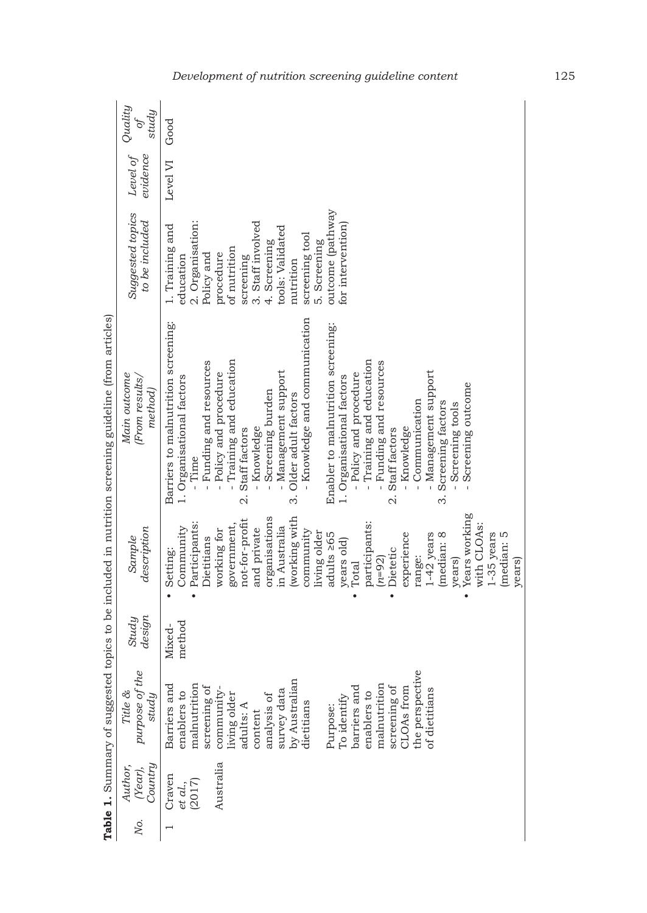| study<br>$\mathcal{O}$             |                                     |                           |                  |                |                                                   |                                      |                              |                          |                                |                                                 |                        |                               |              |                  |                                                  |                        |             |                         |                        |              |                           |                                  |               |                                      |                 |                                    |             |              |           |        |
|------------------------------------|-------------------------------------|---------------------------|------------------|----------------|---------------------------------------------------|--------------------------------------|------------------------------|--------------------------|--------------------------------|-------------------------------------------------|------------------------|-------------------------------|--------------|------------------|--------------------------------------------------|------------------------|-------------|-------------------------|------------------------|--------------|---------------------------|----------------------------------|---------------|--------------------------------------|-----------------|------------------------------------|-------------|--------------|-----------|--------|
| evidence<br>Level of               | Level VI                            |                           |                  |                |                                                   |                                      |                              |                          |                                |                                                 |                        |                               |              |                  |                                                  |                        |             |                         |                        |              |                           |                                  |               |                                      |                 |                                    |             |              |           |        |
| Suggested topics<br>to be included | 1. Training and                     | education                 | 2. Organisation: |                | procedure                                         |                                      |                              |                          |                                |                                                 | nutrition              | screening tool                |              | outcome (pathway | for intervention                                 |                        |             |                         |                        |              |                           |                                  |               |                                      |                 |                                    |             |              |           |        |
| (From results,<br>method)          | Barriers to malnutrition screening: | 1. Organisational factors |                  |                | $\mathbf{I}$                                      |                                      | 2. Staff factors             | - Knowledge              |                                | Management support                              | 3. Older adult factors | - Knowledge and communication |              |                  | 1. Organisational factors                        | - Policy and procedure | ï           | - Funding and resources | 2. Staff factors       |              |                           | - Management support             |               |                                      |                 |                                    |             |              |           |        |
| description<br>Sample              | Setting:                            | Community                 | Participants:    |                | working for                                       | government,                          | not-for-profit               | and private              | organisations                  | in Australia                                    | working with           | community                     | living older |                  | years old)                                       | Total                  |             | $(n = 92)$              | Dietetic               | experience   | range:                    |                                  | median: 8     | years)                               |                 |                                    |             |              |           |        |
| design<br>Study                    | Mixed-                              | method                    |                  |                |                                                   |                                      |                              |                          |                                |                                                 |                        |                               |              |                  |                                                  |                        |             |                         |                        |              |                           |                                  |               |                                      |                 |                                    |             |              |           |        |
| purpose of the<br>study            | Barriers and                        | enablers to               | malnutrition     |                | community-                                        |                                      | adults: A                    | content                  |                                | survey data                                     |                        |                               |              | Purpose:         |                                                  | barriers and           | enablers to | malnutrition            |                        |              |                           |                                  |               |                                      |                 |                                    |             |              |           |        |
| Country<br>(Year),<br>Ňο.          | Craven                              |                           |                  |                | Australia                                         |                                      |                              |                          |                                |                                                 |                        |                               |              |                  |                                                  |                        |             |                         |                        |              |                           |                                  |               |                                      |                 |                                    |             |              |           |        |
|                                    |                                     | Good                      | et al.,          | Time<br>(2017) | Policy and<br>Funding and resources<br>Dietitians | Policy and procedure<br>screening of | of nutrition<br>living older | - Training and education | 3. Staff involved<br>screening | 4. Screening<br>Screening burden<br>analysis of | tools: Validated       | by Australian                 | dietitians   | 5. Screening     | Enabler to malnutrition screening:<br>adults 265 | To identify            |             | participants:           | Training and education | screening of | - Knowledge<br>CLOAs from | Communication<br>the perspective | of dietitians | 3. Screening factors<br>$1-42$ years | Screening tools | Screening outcome<br>Years working | with CLOAs: | $1-35$ years | median: 5 | years) |

## *Development of nutrition screening guideline content* 125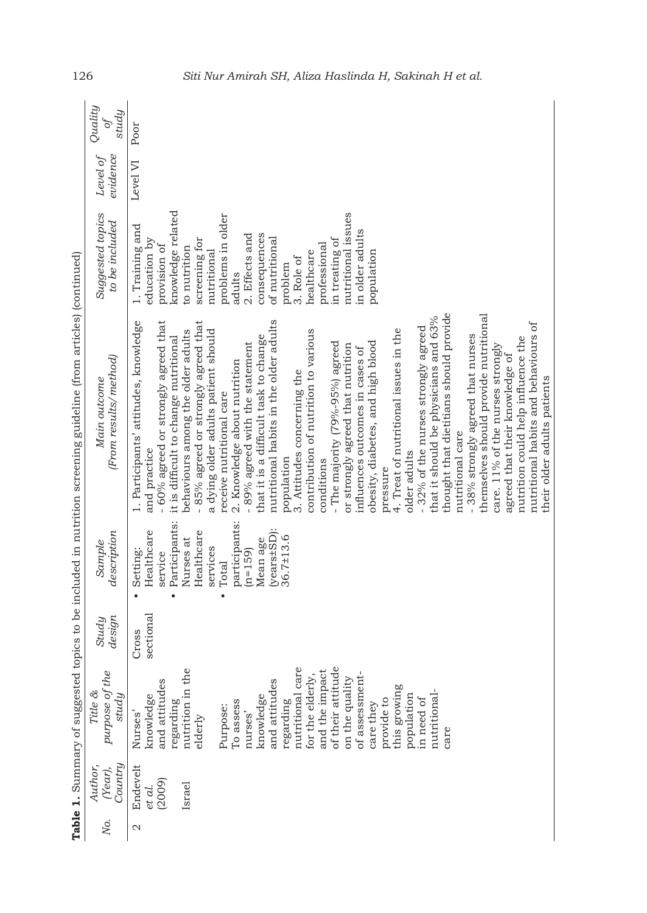|     |                                        |                                                                                                                                                                                                                                                                                                                                                                                    |                    |                                                                                                                                                                                                             | Table 1. Summary of suggested topics to be included in nutrition screening guideline (from articles) (continued)                                                                                                                                                                                                                                                                                                                                                                                                                                                                                                                                                                                                                                                                                                                                                                                                                                                                                                                                                                                                                                                                  |                                                                                                                                                                                                                                                                                                                                         |                      |                                         |
|-----|----------------------------------------|------------------------------------------------------------------------------------------------------------------------------------------------------------------------------------------------------------------------------------------------------------------------------------------------------------------------------------------------------------------------------------|--------------------|-------------------------------------------------------------------------------------------------------------------------------------------------------------------------------------------------------------|-----------------------------------------------------------------------------------------------------------------------------------------------------------------------------------------------------------------------------------------------------------------------------------------------------------------------------------------------------------------------------------------------------------------------------------------------------------------------------------------------------------------------------------------------------------------------------------------------------------------------------------------------------------------------------------------------------------------------------------------------------------------------------------------------------------------------------------------------------------------------------------------------------------------------------------------------------------------------------------------------------------------------------------------------------------------------------------------------------------------------------------------------------------------------------------|-----------------------------------------------------------------------------------------------------------------------------------------------------------------------------------------------------------------------------------------------------------------------------------------------------------------------------------------|----------------------|-----------------------------------------|
| Ņо. | Country<br>Author,<br>(Year),          | purpose of the<br>Title &<br>study                                                                                                                                                                                                                                                                                                                                                 | design<br>Study    | description<br>Sample                                                                                                                                                                                       | (From results/method)<br>Main outcome                                                                                                                                                                                                                                                                                                                                                                                                                                                                                                                                                                                                                                                                                                                                                                                                                                                                                                                                                                                                                                                                                                                                             | Suggested topics<br>to be included                                                                                                                                                                                                                                                                                                      | evidence<br>Level of | Quality<br>study<br>$\overline{\sigma}$ |
| Z   | Endevelt<br>(2009)<br>Israel<br>et al. | nutritional care<br>of their attitude<br>nutrition in the<br>and the impact<br>of assessment-<br>for the elderly,<br>on the quality<br>and attitudes<br>and attitudes<br>this growing<br>nutritional-<br>knowledge<br>population<br>knowledge<br>provide to<br>in need of<br>regarding<br>To assess<br>regarding<br>care they<br>Purpose:<br>nurses'<br>Nurses'<br>elderly<br>care | sectional<br>Cross | Participants:<br>participants:<br>Healthcare<br>Healthcare<br>$(years + SD)$<br>$36.7 \pm 13.6$<br>Nurses at<br>Mean age<br>services<br>Setting:<br>$(n=159)$<br>service<br>Total<br>$\bullet$<br>$\bullet$ | thought that dietitians should provide<br>themselves should provide nutritional<br>that it should be physicians and 63%<br>- 85% agreed or strongly agreed that<br>nutritional habits in the older adults<br>1. Participants' attitudes, knowledge<br>- 60% agreed or strongly agreed that<br>nutritional habits and behaviours of<br>- 32% of the nurses strongly agreed<br>a dying older adults patient should<br>contribution of nutrition to various<br>4. Treat of nutritional issues in the<br>behaviours among the older adults<br>that it is a difficult task to change<br>-38% strongly agreed that nurses<br>it is difficult to change nutritional<br>nutrition could help influence the<br>- 89% agreed with the statement<br>obesity, diabetes, and high blood<br>- The majority (79%-95%) agreed<br>or strongly agreed that nutrition<br>care. 11% of the nurses strongly<br>influences outcomes in cases of<br>agreed that their knowledge of<br>2. Knowledge about nutrition<br>3. Attitudes concerning the<br>their older adults patients<br>receive nutritional care<br>nutritional care<br>and practice<br>older adults<br>population<br>conditions<br>pressure | knowledge related<br>nutritional issues<br>problems in older<br>1. Training and<br>in older adults<br>consequences<br>2. Effects and<br>of nutritional<br>education by<br>screening for<br>in treating of<br>professional<br>provision of<br>to nutrition<br>healthcare<br>population<br>nutritional<br>3. Role of<br>problem<br>adults | Level VI             | Poor                                    |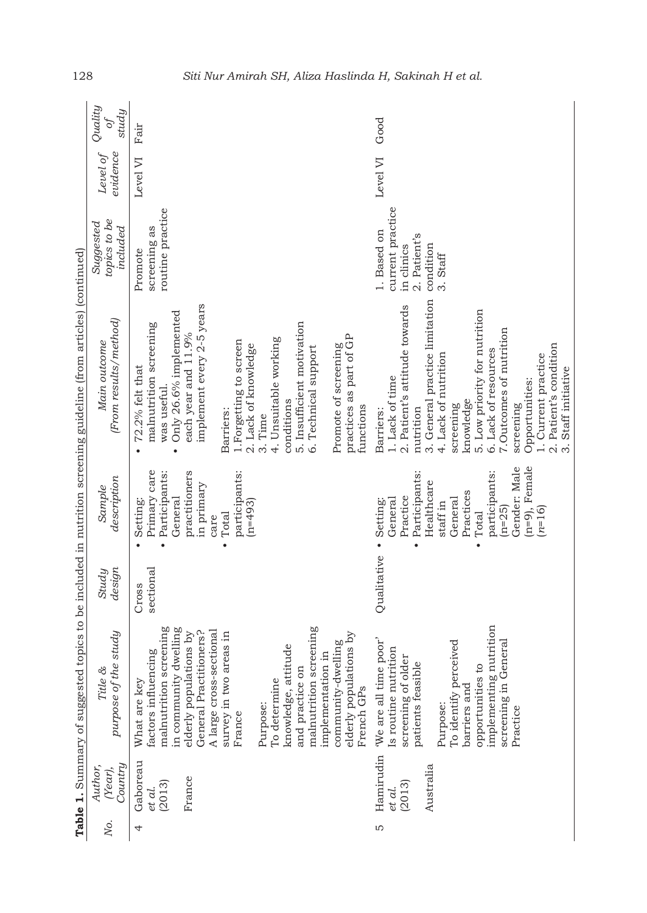|     |                               | Table 1. Summary of suggested                                                                                     |                    |                                                                                         | topics to be included in nutrition screening guideline (from articles) (continued)                                                   |                                                                                        |                      |                                  |
|-----|-------------------------------|-------------------------------------------------------------------------------------------------------------------|--------------------|-----------------------------------------------------------------------------------------|--------------------------------------------------------------------------------------------------------------------------------------|----------------------------------------------------------------------------------------|----------------------|----------------------------------|
| No. | Country<br>Author,<br>(Year), | purpose of the study<br>Title &                                                                                   | design<br>Study    | description<br>Sample                                                                   | (From results/method)<br>Main outcome                                                                                                | topics to be<br>Suggested<br>included                                                  | Level of<br>evidence | Quality<br>study<br>$\partial f$ |
| 4   | Gaboreau<br>(2013)<br>et al.  | malnutrition screening<br>in community dwelling<br>factors influencing<br>What are key                            | sectional<br>Cross | Primary care<br>Participants:<br>General<br>Setting:                                    | Only 26.6% implemented<br>malnutrition screening<br>72.2% felt that<br>was useful.<br>$\bullet$                                      | routine practice<br>screening as<br>Promote                                            | Level VI             | Fair                             |
|     | France                        | General Practitioners?<br>A large cross-sectional<br>elderly populations by<br>survey in two areas in<br>France   |                    | practitioners<br>participants:<br>in primary<br>$(n=493)$<br>Total<br>care<br>$\bullet$ | implement every 2-5 years<br>each year and 11.9%<br>1. Forgetting to screen<br>2. Lack of knowledge<br>Barriers:                     |                                                                                        |                      |                                  |
|     |                               | malnutrition screening<br>knowledge, attitude<br>implementation in<br>and practice on<br>To determine<br>Purpose: |                    |                                                                                         | 5. Insufficient motivation<br>4. Unsuitable working<br>6. Technical support<br>conditions<br>3. Time                                 |                                                                                        |                      |                                  |
|     |                               | elderly populations by<br>community-dwelling<br>French GPs                                                        |                    |                                                                                         | practices as part of GP<br>Promote of screening<br>functions                                                                         |                                                                                        |                      |                                  |
| m   | Australia<br>(2013)<br>et al. | poor'<br>Is routine nutrition<br>screening of older<br>patients feasible<br>Hamirudin We are all time<br>Purpose: | Qualitative        | Participants:<br>Healthcare<br>Practice<br>General<br>Setting:<br>staff in<br>$\bullet$ | 3. General practice limitation<br>2. Patient's attitude towards<br>4. Lack of nutrition<br>1. Lack of time<br>nutrition<br>Barriers: | current practice<br>1. Based on<br>2. Patient's<br>condition<br>in clinics<br>3. Staff | Level VI             | Good                             |
|     |                               | implementing nutrition<br>To identify perceived<br>opportunities to<br>barriers and                               |                    | participants:<br>Practices<br>General<br>$(n=25)$<br>Total                              | 5. Low priority for nutrition<br>7. Outcomes of nutrition<br>6. Lack of resources<br>knowledge<br>screening                          |                                                                                        |                      |                                  |
|     |                               | screening in General<br>Practice                                                                                  |                    | $(n=9)$ , Female<br>Gender: Male                                                        | Opportunities:<br>screening                                                                                                          |                                                                                        |                      |                                  |
|     |                               |                                                                                                                   |                    | $n=16$                                                                                  | 2. Patient's condition<br>1. Current practice<br>3. Staff initiative                                                                 |                                                                                        |                      |                                  |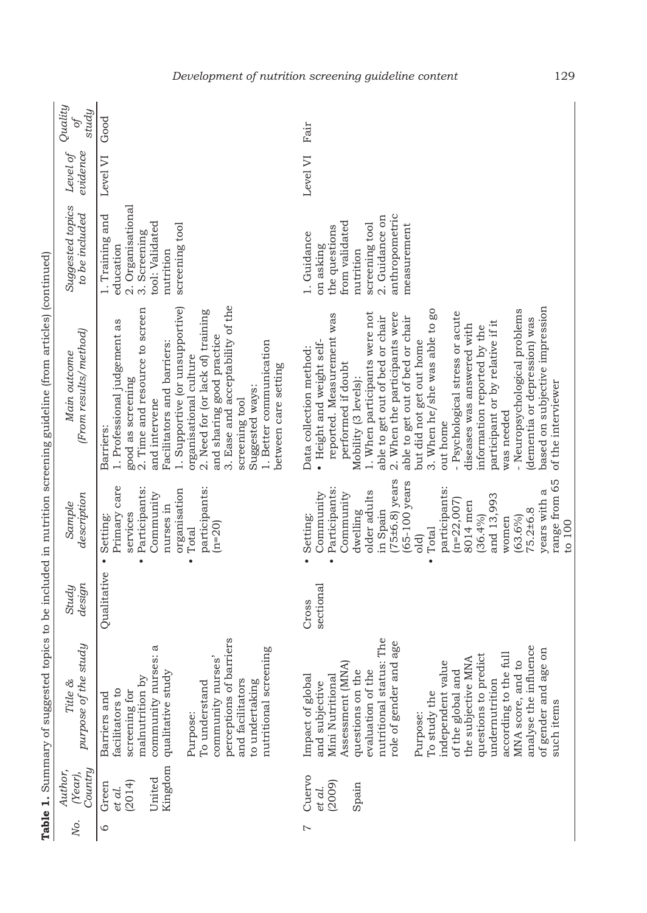| Quality<br>study<br>$\sigma$          | Good                                                                                                                                                                                                                                                                                                                                                                                                       | Fair                                                                                                                                                                                                                                                                                                                                                                                                                                                                                                                                                                                                                       |
|---------------------------------------|------------------------------------------------------------------------------------------------------------------------------------------------------------------------------------------------------------------------------------------------------------------------------------------------------------------------------------------------------------------------------------------------------------|----------------------------------------------------------------------------------------------------------------------------------------------------------------------------------------------------------------------------------------------------------------------------------------------------------------------------------------------------------------------------------------------------------------------------------------------------------------------------------------------------------------------------------------------------------------------------------------------------------------------------|
| evidence<br>Level of                  | Level VI                                                                                                                                                                                                                                                                                                                                                                                                   | Level VI                                                                                                                                                                                                                                                                                                                                                                                                                                                                                                                                                                                                                   |
| Suggested topics<br>to be included    | 2. Organisational<br>1. Training and<br>tool: Validated<br>screening tool<br>3. Screening<br>education<br>nutrition                                                                                                                                                                                                                                                                                        | anthropometric<br>2. Guidance on<br>from validated<br>screening tool<br>measurement<br>the questions<br>1. Guidance<br>on asking<br>nutrition                                                                                                                                                                                                                                                                                                                                                                                                                                                                              |
| (From results/method)<br>Main outcome | 3. Ease and acceptability of the<br>1. Supportive (or unsupportive)<br>2. Time and resource to screen<br>2. Need for (or lack of) training<br>1. Professional judgement as<br>and sharing good practice<br>Facilitators and barriers:<br>1. Better communication<br>organisational culture<br>between care setting<br>good as screening<br>Suggested ways:<br>screening tool<br>and intervene<br>Barriers: | based on subjective impression<br>- Neuropsychological problems<br>3. When he/she was able to go<br>1. When participants were not<br>- Psychological stress or acute<br>2. When the participants were<br>reported. Measurement was<br>able to get out of bed or chair<br>able to get out of bed or chair<br>dementia or depression) was<br>participant or by relative if it<br>diseases was answered with<br>information reported by the<br>but did not get out home<br>• Height and weight self-<br>Data collection method:<br>performed if doubt<br>Mobility (3 levels):<br>of the interviewer<br>was needed<br>out home |
| description<br>Sample                 | Primary care<br>participants:<br>Participants:<br>organisation<br>Community<br>nurses in<br>services<br>Setting:<br>$(n=20)$<br>Total<br>$\bullet$<br>$\bullet$<br>$\bullet$                                                                                                                                                                                                                               | range from 65<br>$75\pm6.8$ ) years<br>65-100 years<br>Participants:<br>participants:<br>years with a<br>older adults<br>Community<br>Community<br>and 13,993<br>$(n=22,007)$<br>8014 men<br>in Spain<br>75.2±6.8<br>dwelling<br>Setting:<br>(36.4%)<br>$(63.6\%)$<br>women<br>to 100<br>Total<br>old)<br>$\bullet$<br>$\bullet$                                                                                                                                                                                                                                                                                           |
| design<br>Study                       | Qualitative                                                                                                                                                                                                                                                                                                                                                                                                | sectional<br>Cross                                                                                                                                                                                                                                                                                                                                                                                                                                                                                                                                                                                                         |
| purpose of the study<br>Title &       | perceptions of barriers<br>35.26<br>nutritional screening<br>community nurses'<br>community nurse<br>qualitative study<br>malnutrition by<br>and facilitators<br>to undertaking<br>To understand<br>facilitators to<br>screening for<br>Barriers and<br>Purpose:                                                                                                                                           | nutritional status: The<br>role of gender and age<br>analyse the influence<br>of gender and age on<br>Full<br>questions to predict<br>the subjective MNA<br>MNA score, and to<br>$\circ$<br>Assessment (MNA)<br>evaluation of the<br>independent valu<br>questions on the<br>according to the<br>of the global and<br>Mini Nutritional<br>Impact of global<br>undernutrition<br>and subjective<br>To study the<br>such items<br>Purpose:                                                                                                                                                                                   |
| Country<br>Author,<br>(Year),         | Kingdom<br>United<br>(2014)<br>Green<br>et al.                                                                                                                                                                                                                                                                                                                                                             | Cuervo<br>(2009)<br>Spain<br>et al.                                                                                                                                                                                                                                                                                                                                                                                                                                                                                                                                                                                        |
| No.                                   | $\circ$                                                                                                                                                                                                                                                                                                                                                                                                    | Ņ                                                                                                                                                                                                                                                                                                                                                                                                                                                                                                                                                                                                                          |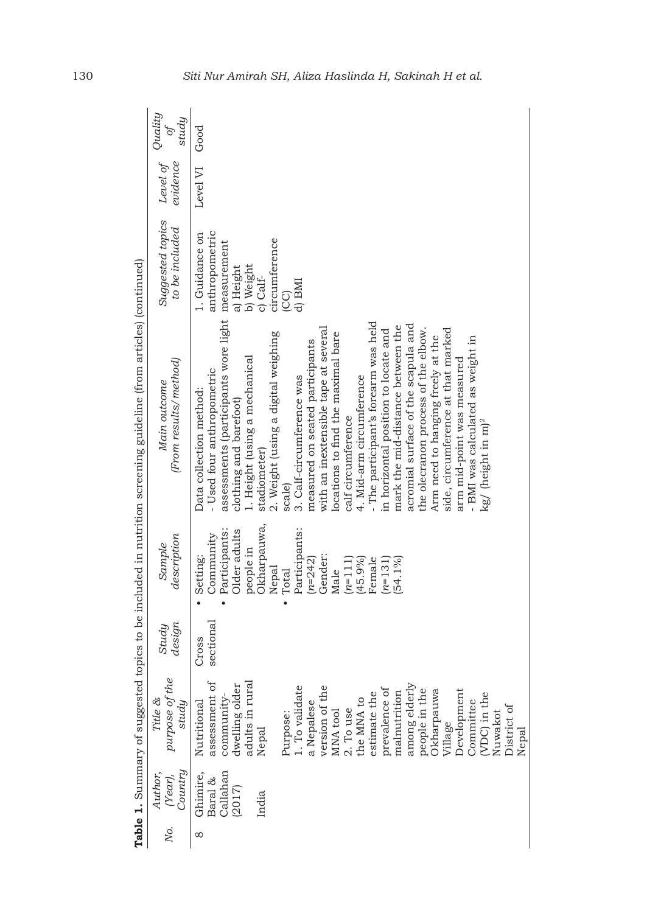|     |                               |                                    |                 |                                         | Table 1. Summary of suggested topics to be included in nutrition screening guideline (from articles) (continued) |                                    |                      |                        |
|-----|-------------------------------|------------------------------------|-----------------|-----------------------------------------|------------------------------------------------------------------------------------------------------------------|------------------------------------|----------------------|------------------------|
| χō. | Country<br>Author,<br>(Year), | purpose of the<br>Title &<br>study | design<br>Study | description<br>Sample                   | (From results/ method)<br>Main outcome                                                                           | Suggested topics<br>to be included | evidence<br>Level of | Quality<br>study<br>of |
| ∞   | Ghimire,                      | Nutritional                        | Cross           | Setting:                                | Data collection method:                                                                                          | 1. Guidance on                     | Level VI             | Good                   |
|     | Callahan<br>Baral &           | assessment of<br>community-        | sectional       | Participants:<br>Community<br>$\bullet$ | assessments (participants wore light measurement<br>- Used four anthropometric                                   | anthropometric                     |                      |                        |
|     | (2017)                        | dwelling older                     |                 | Older adults                            | clothing and barefoot)                                                                                           | a) Height                          |                      |                        |
|     |                               | adults in rural                    |                 | people in                               | 1. Height (using a mechanical                                                                                    | b) Weight                          |                      |                        |
|     | India                         | Nepal                              |                 | Okharpauwa,                             | stadiometer)                                                                                                     | c) Calf-                           |                      |                        |
|     |                               |                                    |                 | Nepal                                   | 2. Weight (using a digital weighing                                                                              | circumference                      |                      |                        |
|     |                               | Purpose:<br>1. To validate         |                 | Total<br>$\bullet$                      | scale)                                                                                                           | (CC)                               |                      |                        |
|     |                               |                                    |                 | Participants:                           | 3. Calf-circumference was                                                                                        | d) BMI                             |                      |                        |
|     |                               | a Nepalese                         |                 | $(n=242)$                               | measured on seated participants                                                                                  |                                    |                      |                        |
|     |                               | version of the                     |                 | Gender:                                 | with an inextensible tape at several                                                                             |                                    |                      |                        |
|     |                               | MNA tool                           |                 | Male                                    | locations to find the maximal bare                                                                               |                                    |                      |                        |
|     |                               | 2. To use                          |                 | $(n=111)$                               | calf circumference                                                                                               |                                    |                      |                        |
|     |                               | the MNA to                         |                 | (45.9%                                  | 4. Mid-arm circumference                                                                                         |                                    |                      |                        |
|     |                               | estimate the                       |                 | Female                                  | - The participant's forearm was held                                                                             |                                    |                      |                        |
|     |                               | prevalence of                      |                 | $(n=131)$                               | in horizontal position to locate and                                                                             |                                    |                      |                        |
|     |                               | malnutrition                       |                 | 54.1%                                   | mark the mid-distance between the                                                                                |                                    |                      |                        |
|     |                               | among elderly                      |                 |                                         | acromial surface of the scapula and                                                                              |                                    |                      |                        |
|     |                               | people in the                      |                 |                                         | the olecranon process of the elbow.                                                                              |                                    |                      |                        |
|     |                               | Okharpauwa                         |                 |                                         | Arm need to hanging freely at the                                                                                |                                    |                      |                        |
|     |                               | Village                            |                 |                                         | side, circumference at that marked                                                                               |                                    |                      |                        |
|     |                               | Development                        |                 |                                         | arm mid-point was measured                                                                                       |                                    |                      |                        |
|     |                               | Committee                          |                 |                                         | - BMI was calculated as weight in                                                                                |                                    |                      |                        |
|     |                               | (VDC) in the                       |                 |                                         | kg/ (height in m) <sup>2</sup>                                                                                   |                                    |                      |                        |
|     |                               | Nuwakot                            |                 |                                         |                                                                                                                  |                                    |                      |                        |
|     |                               | District of                        |                 |                                         |                                                                                                                  |                                    |                      |                        |
|     |                               | Nepal                              |                 |                                         |                                                                                                                  |                                    |                      |                        |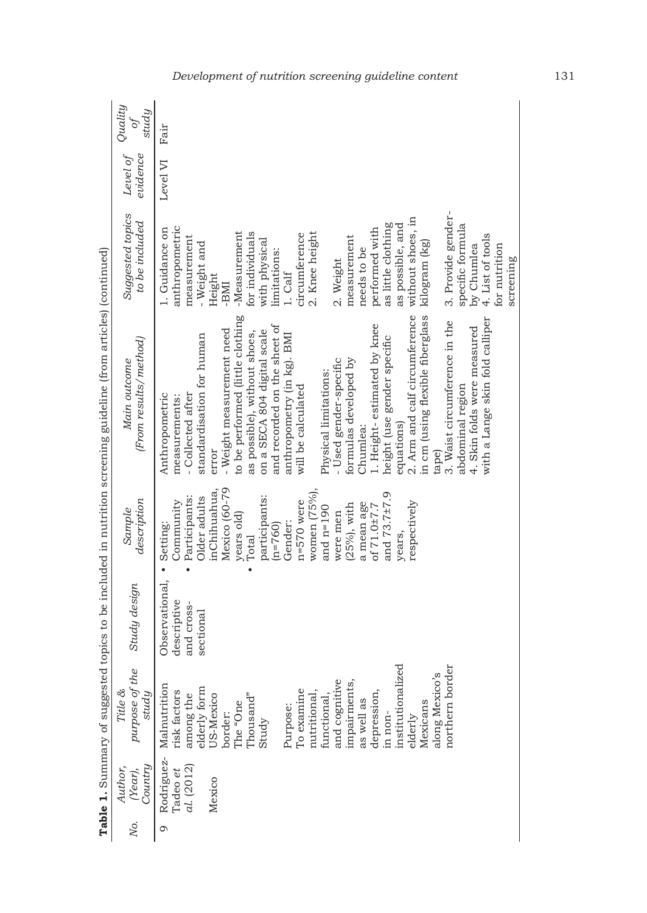|        | Quality<br>study<br>ð                  | Fair                                                                                                                                                                                                                                                                                                                                                                                                                                                                                                                                                                                                                                                                                    |
|--------|----------------------------------------|-----------------------------------------------------------------------------------------------------------------------------------------------------------------------------------------------------------------------------------------------------------------------------------------------------------------------------------------------------------------------------------------------------------------------------------------------------------------------------------------------------------------------------------------------------------------------------------------------------------------------------------------------------------------------------------------|
|        | Level of<br>evidence                   | Level VI                                                                                                                                                                                                                                                                                                                                                                                                                                                                                                                                                                                                                                                                                |
|        | Suggested topics<br>to be included     | 3. Provide gender-<br>without shoes, in<br>as possible, and<br>as little clothing<br>specific formula<br>anthropometric<br>1. Guidance on<br>performed with<br>-Measurement<br>for individuals<br>2. Knee height<br>circumference<br>4. List of tools<br>measurement<br>measurement<br>with physical<br>- Weight and<br>kilogram (kg)<br>for nutrition<br>by Chumlea<br>needs to be<br>limitations:<br>2. Weight<br>$1.$ Calf<br>Height<br>-BMI                                                                                                                                                                                                                                         |
| o<br>o | (From results/ method)<br>Main outcome | to be performed (little clothing<br>2. Arm and calf circumference<br>in cm (using flexible fiberglass<br>3. Waist circumference in the<br>with a Lange skin fold calliper<br>and recorded on the sheet of<br>1. Height-estimated by knee<br>4. Skin folds were measured<br>- Weight measurement need<br>on a SECA 804 digital scale<br>as possible), without shoes,<br>standardisation for human<br>anthropometry (in kg). BMI<br>height (use gender specific<br>formulas developed by<br>- Used gender-specific<br>Physical limitations:<br>will be calculated<br>abdominal region<br>Anthropometric<br>- Collected after<br>measurements:<br>equations)<br>Chumlea:<br>error<br>tape) |
|        | description<br>Sample                  | Mexico (60-79<br>women $(75\%)$ ,<br>inChihuahua.<br>and 73.7±7.9<br>participants:<br>Participants:<br>Older adults<br>Community<br>$n = 570$ were<br>respectively<br>a mean age<br>of 71.0±7.7<br>$(25%)$ , with<br>and $n=190$<br>were men<br>years old)<br>Gender:<br>Setting:<br>$(n=760)$<br>years,<br>Total                                                                                                                                                                                                                                                                                                                                                                       |
|        | Study design                           | Observational,<br>descriptive<br>and cross-<br>sectional                                                                                                                                                                                                                                                                                                                                                                                                                                                                                                                                                                                                                                |
|        | purpose of the<br>Title &<br>study     | institutionalized<br>northern border<br>along Mexico's<br>and cognitive<br>impairments,<br>Malnutrition<br>among the<br>elderly form<br>To examine<br>risk factors<br>depression,<br>Thousand"<br>nutritional,<br>US-Mexico<br>functional<br>as well as<br>Mexicans<br>The "One<br>Purpose:<br>in non-<br>border:<br>elderly<br>Study                                                                                                                                                                                                                                                                                                                                                   |
|        | Country<br>Author,<br>(Year),          | Rodriguez-<br>al. (2012)<br>adeo et<br>Mexico                                                                                                                                                                                                                                                                                                                                                                                                                                                                                                                                                                                                                                           |
|        | χö.                                    | ా                                                                                                                                                                                                                                                                                                                                                                                                                                                                                                                                                                                                                                                                                       |

## *Development of nutrition screening guideline content* 131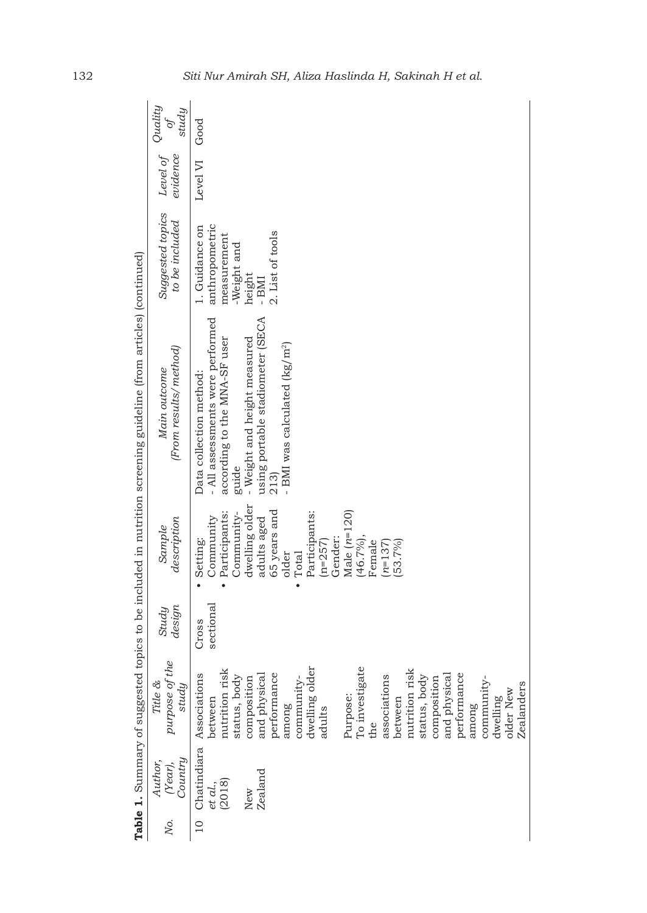|                 |                                     |                                                                                                                                                                                                                                                                                                                                                                                             |                    |                                                                                                                                                                                                                                 | Table 1. Summary of suggested topics to be included in nutrition screening guideline (from articles) (continued)                                                                                                              |                                                                                                       |                      |                                   |
|-----------------|-------------------------------------|---------------------------------------------------------------------------------------------------------------------------------------------------------------------------------------------------------------------------------------------------------------------------------------------------------------------------------------------------------------------------------------------|--------------------|---------------------------------------------------------------------------------------------------------------------------------------------------------------------------------------------------------------------------------|-------------------------------------------------------------------------------------------------------------------------------------------------------------------------------------------------------------------------------|-------------------------------------------------------------------------------------------------------|----------------------|-----------------------------------|
| Ņо.             | Country<br>Author,<br>(Year),       | purpose of the<br>Title &<br>$study$                                                                                                                                                                                                                                                                                                                                                        | design<br>Study    | description<br>Sample                                                                                                                                                                                                           | (From results/method)<br>Main outcome                                                                                                                                                                                         | Suggested topics<br>to be included                                                                    | Level of<br>evidence | Quality<br>study<br>$\mathcal{O}$ |
| $\overline{10}$ | Zealand<br>et al.,<br>(2018)<br>New | To investigate<br>dwelling older<br>nutrition risk<br>nutrition risk<br>performance<br>Chatindiara Associations<br>performance<br>and physical<br>associations<br>and physical<br>status, body<br>status, body<br>community-<br>community-<br>composition<br>composition<br><b>Zealanders</b><br>older New<br>Purpose:<br>between<br>dwelling<br>between<br>among<br>among<br>adults<br>the | sectional<br>Cross | dwelling older<br>65 years and<br>Male $(n=120)$<br>Participants:<br>Participants:<br>Community-<br>Community<br>adults aged<br>(46.7%),<br>Gender:<br>Setting:<br>$(n=257)$<br>Female<br>$(n=137)$<br>53.7%)<br>older<br>Total | using portable stadiometer (SECA<br>- All assessments were performed<br>- Weight and height measured<br>according to the MNA-SF user<br>- BMI was calculated (kg/m <sup>2</sup> )<br>Data collection method:<br>guide<br>213) | anthropometric<br>1. Guidance on<br>2. List of tools<br>measurement<br>-Weight and<br>height<br>- BMI | Level VI             | Good                              |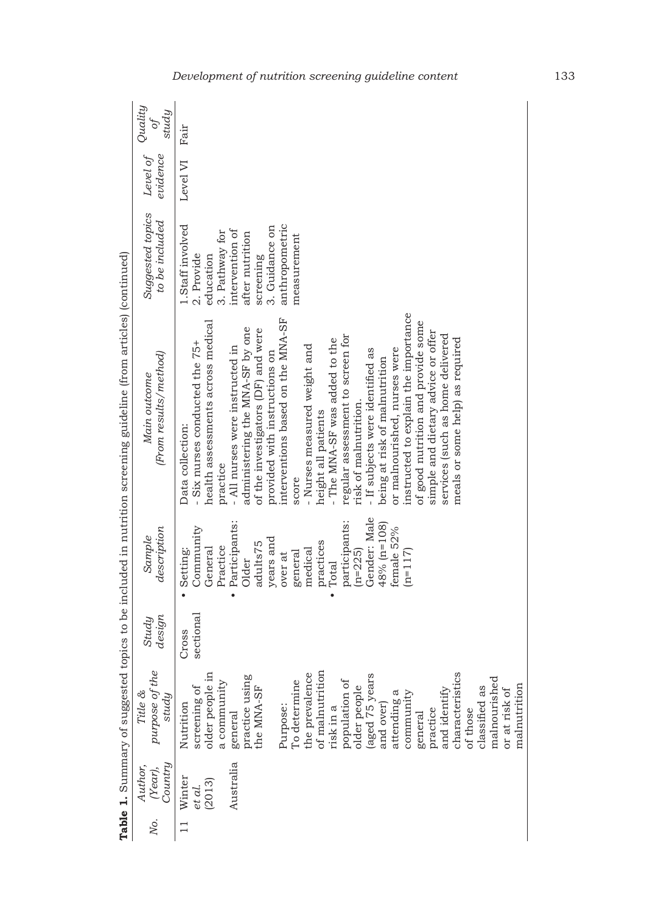|     |                                         |                                                                                                                                                                                                                                                                                                                                                                                                                          |                    |                                                                                                                                                                                                                                                                              | Table 1. Summary of suggested topics to be included in nutrition screening guideline (from articles) (continued)                                                                                                                                                                                                                                                                                                                                                                                                                                                                                                                                                                                                                                    |                                                                                                                                                                     |                      |                                  |
|-----|-----------------------------------------|--------------------------------------------------------------------------------------------------------------------------------------------------------------------------------------------------------------------------------------------------------------------------------------------------------------------------------------------------------------------------------------------------------------------------|--------------------|------------------------------------------------------------------------------------------------------------------------------------------------------------------------------------------------------------------------------------------------------------------------------|-----------------------------------------------------------------------------------------------------------------------------------------------------------------------------------------------------------------------------------------------------------------------------------------------------------------------------------------------------------------------------------------------------------------------------------------------------------------------------------------------------------------------------------------------------------------------------------------------------------------------------------------------------------------------------------------------------------------------------------------------------|---------------------------------------------------------------------------------------------------------------------------------------------------------------------|----------------------|----------------------------------|
| Νo. | (Year),<br>Country<br>Author,           | purpose of the<br>Title &<br>study                                                                                                                                                                                                                                                                                                                                                                                       | design<br>Study    | description<br>Sample                                                                                                                                                                                                                                                        | (From results/method)<br>Main outcome                                                                                                                                                                                                                                                                                                                                                                                                                                                                                                                                                                                                                                                                                                               | Suggested topics<br>to be included                                                                                                                                  | Level of<br>evidence | Quality<br>study<br>$\partial f$ |
|     | Australia<br>Winter<br>(2013)<br>et al. | of malnutrition<br>older people in<br>the prevalence<br>characteristics<br>(aged 75 years<br>practice using<br>malnourished<br>To determine<br>population of<br>a community<br>malnutrition<br>screening of<br>classified as<br>the MNA-SF<br>older people<br>or at risk of<br>and identify<br>attending a<br>community<br>Nutrition<br>Purpose:<br>and over)<br>risk in a<br>practice<br>of those<br>general<br>general | sectional<br>Cross | Gender: Male<br>Participants:<br>participants:<br>$48\%$ (n=108)<br>Community<br>female 52%<br>years and<br>practices<br>adults75<br>Practice<br>General<br>Setting:<br>medical<br>$(n=2225)$<br>$(n=117)$<br>general<br>over at<br>Older<br>Total<br>$\bullet$<br>$\bullet$ | instructed to explain the importance<br>interventions based on the MNA-SF<br>health assessments across medical<br>of good nutrition and provide some<br>administering the MNA-SF by one<br>of the investigators (DF) and were<br>simple and dietary advice or offer<br>services (such as home delivered<br>regular assessment to screen for<br>- The MNA-SF was added to the<br>meals or some help) as required<br>- Six nurses conducted the 75+<br>- Nurses measured weight and<br>- All nurses were instructed in<br>or malnourished, nurses were<br>- If subjects were identified as<br>provided with instructions on<br>being at risk of malnutrition<br>risk of malnutrition.<br>height all patients<br>Data collection:<br>practice<br>score | 1.Staff involved<br>anthropometric<br>3. Guidance on<br>intervention of<br>3. Pathway for<br>after nutrition<br>measurement<br>2. Provide<br>screening<br>education | Level VI Fair        |                                  |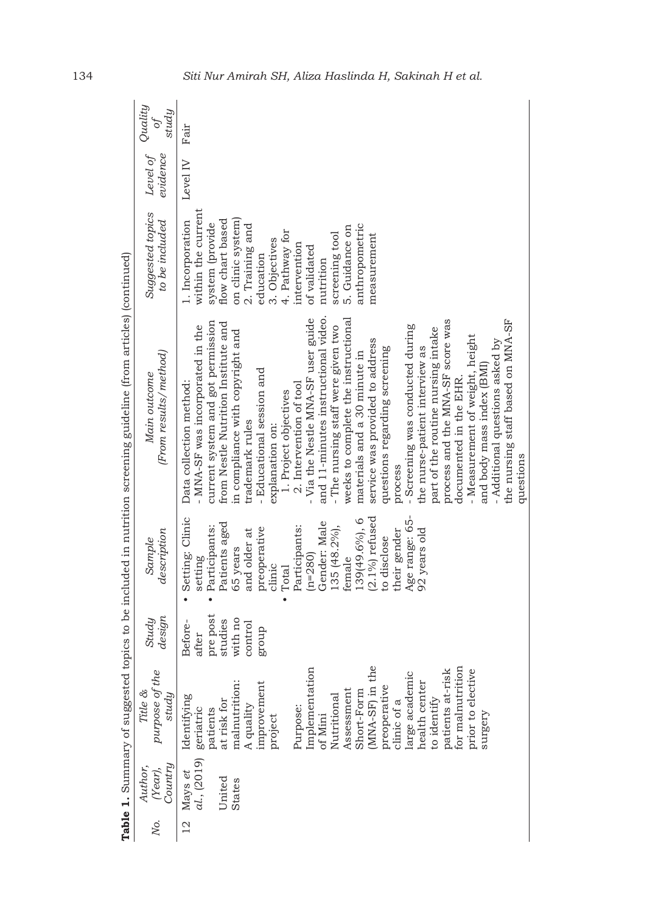| Country<br>Author,<br>(Year), | purpose of the<br>Title &<br>$study$                                                                                                                                                                                                                                                                                                                           | design<br>Study                                                        | description<br>Sample                                                                                                                                                                                                                                                                                      | (From results/method)<br>Main outcome                                                                                                                                                                                                                                                                                                                                                                                                                                                                                                                                                                                                                                                                                                                                                                                                                                                                   | Suggested topics<br>to be included                                                                                                                                                                                                                                                      | evidence | study<br>$\overline{\mathfrak{o}}$                                                                                                   |
|-------------------------------|----------------------------------------------------------------------------------------------------------------------------------------------------------------------------------------------------------------------------------------------------------------------------------------------------------------------------------------------------------------|------------------------------------------------------------------------|------------------------------------------------------------------------------------------------------------------------------------------------------------------------------------------------------------------------------------------------------------------------------------------------------------|---------------------------------------------------------------------------------------------------------------------------------------------------------------------------------------------------------------------------------------------------------------------------------------------------------------------------------------------------------------------------------------------------------------------------------------------------------------------------------------------------------------------------------------------------------------------------------------------------------------------------------------------------------------------------------------------------------------------------------------------------------------------------------------------------------------------------------------------------------------------------------------------------------|-----------------------------------------------------------------------------------------------------------------------------------------------------------------------------------------------------------------------------------------------------------------------------------------|----------|--------------------------------------------------------------------------------------------------------------------------------------|
| United<br><b>States</b>       | Implementation<br>(MNA-SF) in the<br>for malnutrition<br>patients at-risk<br>prior to elective<br>large academic<br>malnutrition:<br>health center<br>improvement<br>preoperative<br>Assessment<br>Short-Form<br>Nutritional<br>Identifying<br>to identify<br>at risk for<br>clinic of a<br>A quality<br>Purpose:<br>patients<br>project<br>of Mini<br>surgery | pre post<br>with no<br>studies<br>Before-<br>control<br>group<br>after | $(2.1\%)$ refused<br>Age range: 65-<br>Setting: Clinic<br>139(49.6%), 6<br>Gender: Male<br>Patients aged<br>Participants:<br>Participants:<br>135 (48.2%),<br>preoperative<br>their gender<br>92 years old<br>and older at<br>to disclose<br>65 years<br>$(n=280)$<br>female<br>setting<br>clinic<br>Total | and 11-minutes instructional video.<br>- Via the Nestle MNA-SF user guide<br>weeks to complete the instructional<br>the nursing staff based on MNA-SF<br>process and the MNA-SF score was<br>current system and got permission<br>from Nestle Nutrition Institute and<br>- Screening was conducted during<br>MNA-SF was incorporated in the<br>- The nursing staff were given two<br>part of the routine nursing intake<br>in compliance with copyright and<br>- Measurement of weight, height<br>service was provided to address<br>- Additional questions asked by<br>questions regarding screening<br>the nurse-patient interview as<br>materials and a 30 minute in<br>and body mass index (BMI<br>- Educational session and<br>documented in the EHR.<br>Data collection method:<br>2. Intervention of tool<br>1. Project objectives<br>trademark rules<br>explanation on:<br>questions<br>process | within the current<br>on clinic system)<br>flow chart based<br>1. Incorporation<br>system (provide<br>anthropometric<br>2. Training and<br>5. Guidance on<br>4. Pathway for<br>screening tool<br>measurement<br>3. Objectives<br>intervention<br>of validated<br>education<br>nutrition | Level IV | Fair                                                                                                                                 |
|                               | Mays et                                                                                                                                                                                                                                                                                                                                                        | al., (2019) geriatric                                                  |                                                                                                                                                                                                                                                                                                            |                                                                                                                                                                                                                                                                                                                                                                                                                                                                                                                                                                                                                                                                                                                                                                                                                                                                                                         |                                                                                                                                                                                                                                                                                         |          | Level of Quality<br>Table 1. Summary of suggested topics to be included in nutrition screening guideline (from articles) (continued) |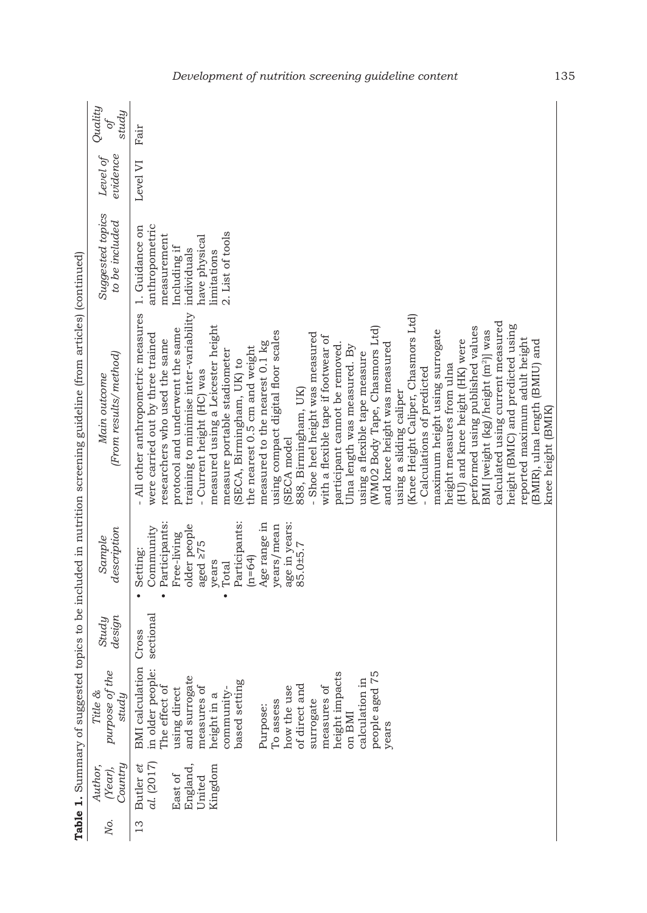|     |                                                                     |                                                                                                                                                                                                                                                                                                                         |                    |                                                                                                                                                                                                                                          | Table 1. Summary of suggested topics to be included in nutrition screening guideline (from articles) (continued)                                                                                                                                                                                                                                                                                                                                                                                                                                                                                                                                                                                                                                                                                                                                                                                                                                                                                                                                                                                                                                                               |                                                                                                                                    |                      |                              |
|-----|---------------------------------------------------------------------|-------------------------------------------------------------------------------------------------------------------------------------------------------------------------------------------------------------------------------------------------------------------------------------------------------------------------|--------------------|------------------------------------------------------------------------------------------------------------------------------------------------------------------------------------------------------------------------------------------|--------------------------------------------------------------------------------------------------------------------------------------------------------------------------------------------------------------------------------------------------------------------------------------------------------------------------------------------------------------------------------------------------------------------------------------------------------------------------------------------------------------------------------------------------------------------------------------------------------------------------------------------------------------------------------------------------------------------------------------------------------------------------------------------------------------------------------------------------------------------------------------------------------------------------------------------------------------------------------------------------------------------------------------------------------------------------------------------------------------------------------------------------------------------------------|------------------------------------------------------------------------------------------------------------------------------------|----------------------|------------------------------|
| No. | Country<br>Author,<br>(Year),                                       | purpose of the<br>Title &<br>study                                                                                                                                                                                                                                                                                      | design<br>Study    | description<br>Sample                                                                                                                                                                                                                    | (From results/method)<br>Main outcome                                                                                                                                                                                                                                                                                                                                                                                                                                                                                                                                                                                                                                                                                                                                                                                                                                                                                                                                                                                                                                                                                                                                          | Suggested topics<br>to be included                                                                                                 | evidence<br>Level of | Quality<br>study<br>$\phi^f$ |
| 13  | al. (2017)<br>England,<br>Kingdom<br>Butler et<br>East of<br>United | <b>BMI</b> calculation<br>in older people:<br>people aged 75<br>height impacts<br>and surrogate<br>calculation in<br>based setting<br>of direct and<br>measures of<br>The effect of<br>measures of<br>how the use<br>using direct<br>community-<br>height in a<br>surrogate<br>To assess<br>Purpose:<br>on BMI<br>years | sectional<br>Cross | Participants:<br>Participants:<br>age in years:<br>Age range in<br>older people<br>years/mean<br>Community<br>Free-living<br>aged $\geq 75$<br>85.0±5.7<br>Setting:<br>$(n=64)$<br>years<br>Total<br>$\bullet$<br>$\bullet$<br>$\bullet$ | training to minimise inter-variability<br>- All other anthropometric measures<br>(Knee Height Caliper, Chasmors Ltd)<br>calculated using current measured<br>measured using a Leicester height<br>height (BMIC) and predicted using<br>performed using published values<br>protocol and underwent the same<br>(WM02 Body Tape, Chasmors Ltd)<br>maximum height using surrogate<br>BMI [weight (kg)/height (m <sup>2</sup> )] was<br>using compact digital floor scales<br>- Shoe heel height was measured<br>were carried out by three trained<br>with a flexible tape if footwear of<br>reported maximum adult height<br>researchers who used the same<br>(HU) and knee height (HK) were<br>BMIR), ulna length (BMIU) and<br>measured to the nearest 0.1 kg<br>and knee height was measured<br>participant cannot be removed.<br>Ulna length was measured. By<br>the nearest 0.5 cm and weight<br>measure portable stadiometer<br>using a flexible tape measure<br>(SECA, Birmingham, UK) to<br>height measures from ulna<br>- Current height (HC) was<br>- Calculations of predicted<br>888, Birmingham, UK)<br>using a sliding caliper<br>knee height (BMIK)<br>(SECA model | anthropometric<br>1. Guidance on<br>2. List of tools<br>measurement<br>have physical<br>Including if<br>individuals<br>limitations | Level VI             | Fair                         |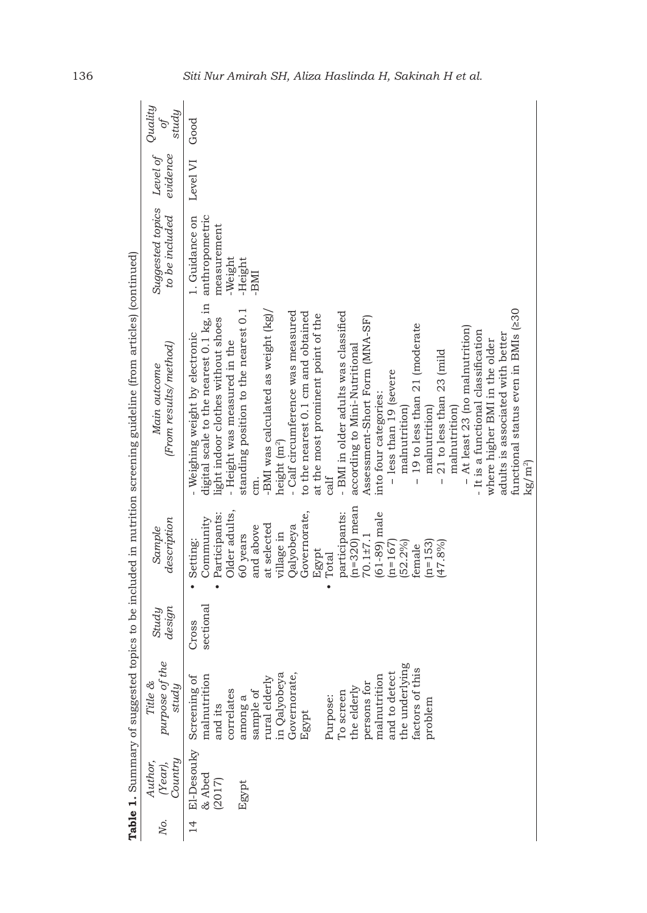|               |                                         |                                                                                                                                                                                                                                                                                 |                    |                                                                                                                                                                                                                                                                                              | Table 1. Summary of suggested topics to be included in nutrition screening guideline (from articles) (continued)                                                                                                                                                                                                                                                                                                                                                                                                                                                                                                                                                                                                                                                                                                                                                                                                        |                                                                               |                      |                              |
|---------------|-----------------------------------------|---------------------------------------------------------------------------------------------------------------------------------------------------------------------------------------------------------------------------------------------------------------------------------|--------------------|----------------------------------------------------------------------------------------------------------------------------------------------------------------------------------------------------------------------------------------------------------------------------------------------|-------------------------------------------------------------------------------------------------------------------------------------------------------------------------------------------------------------------------------------------------------------------------------------------------------------------------------------------------------------------------------------------------------------------------------------------------------------------------------------------------------------------------------------------------------------------------------------------------------------------------------------------------------------------------------------------------------------------------------------------------------------------------------------------------------------------------------------------------------------------------------------------------------------------------|-------------------------------------------------------------------------------|----------------------|------------------------------|
| Ņο.           | Country<br>Author,<br>(Year),           | purpose of the<br>Title &<br>study                                                                                                                                                                                                                                              | design<br>Study    | description<br>Sample                                                                                                                                                                                                                                                                        | (From results/ method)<br>Main outcome                                                                                                                                                                                                                                                                                                                                                                                                                                                                                                                                                                                                                                                                                                                                                                                                                                                                                  | Suggested topics<br>to be included                                            | evidence<br>Level of | Quality<br>study<br>$\phi^f$ |
| $\frac{1}{4}$ | E1-Desouky<br>& Abed<br>(2017)<br>Egypt | the underlying<br>factors of this<br>and to detect<br>in Qalyobeya<br>Governorate,<br>malnutrition<br>malnutrition<br>Screening of<br>rural elderly<br>persons for<br>the elderly<br>correlates<br>sample of<br>To screen<br>Purpose:<br>among a<br>problem<br>and its<br>Egypt | sectional<br>Cross | $(n=320)$ mean<br>Governorate,<br>participants:<br>$(61-89)$ male<br>Participants:<br>Older adults<br>Community<br>at selected<br>Qalyobeya<br>and above<br>village in<br>$70.1 + 7.1$<br>60 years<br>Setting:<br>$(n=167)$<br>$(52.2\%)$<br>$(n=153)$<br>(47.8%<br>female<br>Egypt<br>Total | digital scale to the nearest 0.1 kg, in<br>functional status even in BMIs (230<br>standing position to the nearest 0.1<br>- Calf circumference was measured<br>- BMI in older adults was classified<br>to the nearest 0.1 cm and obtained<br>-BMI was calculated as weight (kg).<br>at the most prominent point of the<br>light indoor clothes without shoes<br>Assessment-Short Form (MNA-SF)<br>19 to less than 21 (moderate<br>- At least 23 (no malnutrition)<br>- It is a functional classification<br>- Weighing weight by electronic<br>adults is associated with better<br>- Height was measured in the<br>where higher BMI in the older<br>according to Mini-Nutritional<br>21 to less than 23 (mild<br>- less than 19 (severe<br>into four categories:<br>malnutrition)<br>malnutrition<br>malnutrition)<br>height (m <sup>2</sup> )<br>$\rm{kg}/\rm{m}^2$<br>calf<br>$\overline{1}$<br>$\overline{1}$<br>cm. | anthropometric<br>1. Guidance on<br>measurement<br>-Weight<br>-Height<br>-BMI | Level VI             | Good                         |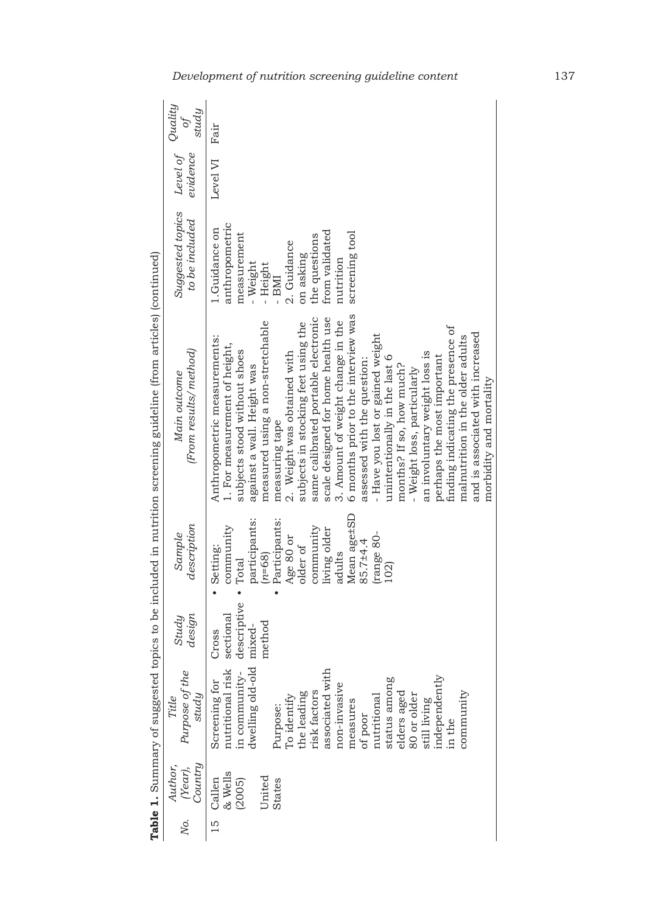| No. | (Year),<br>Country<br>Author,                             | Purpose of the<br>study<br>Title                                                                                                                                                                                                                                                                                | design<br>Study                                               | description<br>Sample                                                                                                                                                                | (From results/method)<br>Main outcome                                                                                                                                                                                                                                                                                                                                                                                                                                                                                                                                                                                                                                                                                                                        | Suggested topics<br>to be included                                                                                                                                            | Level of Quality<br>evidence | study<br>$\mathcal{O}$ |
|-----|-----------------------------------------------------------|-----------------------------------------------------------------------------------------------------------------------------------------------------------------------------------------------------------------------------------------------------------------------------------------------------------------|---------------------------------------------------------------|--------------------------------------------------------------------------------------------------------------------------------------------------------------------------------------|--------------------------------------------------------------------------------------------------------------------------------------------------------------------------------------------------------------------------------------------------------------------------------------------------------------------------------------------------------------------------------------------------------------------------------------------------------------------------------------------------------------------------------------------------------------------------------------------------------------------------------------------------------------------------------------------------------------------------------------------------------------|-------------------------------------------------------------------------------------------------------------------------------------------------------------------------------|------------------------------|------------------------|
|     | 15 Callen<br>& Wells<br>Jnited<br><b>States</b><br>(2005) | dwelling old-old<br>nutritional risk<br>associated with<br>in community-<br>independently<br>status among<br>elders aged<br>Screening for<br>non-invasive<br>community<br>risk factors<br>Purpose:<br>To identify<br>the leading<br>80 or older<br>nutritional<br>still living<br>measures<br>of poor<br>in the | descriptive • Total<br>sectional<br>method<br>mixed-<br>Cross | Mean age±SD<br>Participants:<br>participants:<br>community<br>community<br>living older<br>trange 80-<br>Age 80 or<br>85.7±4.4<br>older of<br>Setting:<br>adults<br>$(n=68)$<br>102) | 6 months prior to the interview was<br>scale designed for home health use<br>same calibrated portable electronic<br>3. Amount of weight change in the<br>measured using a non-stretchable<br>subjects in stocking feet using the<br>finding indicating the presence of<br>and is associated with increased<br>- Have you lost or gained weight<br>malnutrition in the older adults<br>Anthropometric measurements:<br>1. For measurement of height,<br>subjects stood without shoes<br>2. Weight was obtained with<br>an involuntary weight loss is<br>perhaps the most important<br>unintentionally in the last 6<br>assessed with the question:<br>months? If so, how much?<br>against a wall. Height was<br>- Weight loss, particularly<br>measuring tape | anthropometric<br>1.Guidance on<br>from validated<br>screening tool<br>measurement<br>the questions<br>2. Guidance<br>on asking<br>nutrition<br>- Weight<br>- Height<br>- BMI | Level VI                     | Fair                   |
|     |                                                           |                                                                                                                                                                                                                                                                                                                 |                                                               |                                                                                                                                                                                      | morbidity and mortality                                                                                                                                                                                                                                                                                                                                                                                                                                                                                                                                                                                                                                                                                                                                      |                                                                                                                                                                               |                              |                        |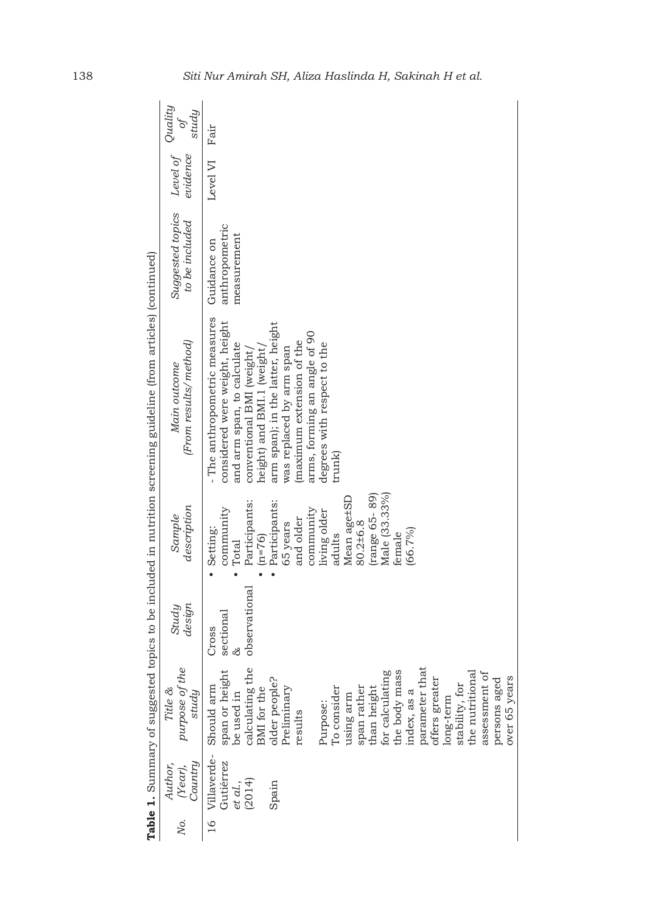|                                                                                                                  | study<br>$\partial f$                  | Fair                                                                                                                                                                                                                                                                                                                                                                                     |
|------------------------------------------------------------------------------------------------------------------|----------------------------------------|------------------------------------------------------------------------------------------------------------------------------------------------------------------------------------------------------------------------------------------------------------------------------------------------------------------------------------------------------------------------------------------|
|                                                                                                                  | Level of Quality<br>evidence           | Level VI                                                                                                                                                                                                                                                                                                                                                                                 |
|                                                                                                                  | Suggested topics<br>to be included     | anthropometric<br>measurement<br>Guidance on                                                                                                                                                                                                                                                                                                                                             |
| Table 1. Summary of suggested topics to be included in nutrition screening guideline (from articles) (continued) | (From results/ method)<br>Main outcome | - The anthropometric measures<br>considered were weight, height<br>arm span); in the latter, height<br>arms, forming an angle of 90<br>maximum extension of the<br>and arm span, to calculate<br>degrees with respect to the<br>height) and BMI.1 (weight)<br>was replaced by arm span<br>conventional BMI (weight)<br>trunk)                                                            |
|                                                                                                                  | description<br>Sample                  | Male (33.33%)<br>(range 65-89)<br>Mean age±SD<br>Participants:<br>Participants:<br>community<br>community<br>living older<br>and older<br>80.2±6.8<br>65 years<br>Setting:<br>(66.7%)<br>female<br>adults<br>$(n=76)$<br>Total                                                                                                                                                           |
|                                                                                                                  | design<br>Study                        | observational<br>sectional<br>Cross<br>ऌ                                                                                                                                                                                                                                                                                                                                                 |
|                                                                                                                  | purpose of the<br>Title &<br>study     | parameter that<br>calculating the<br>span or height<br>be used in<br>the body mass<br>for calculating<br>the nutritional<br>assessment of<br>over 65 years<br>offers greater<br>older people?<br>persons aged<br>stability, for<br>To consider<br>Should arm<br>than height<br>span rather<br>BMI for the<br>Preliminary<br>index, as a<br>using arm<br>long-term<br>Purpose:<br>results |
|                                                                                                                  | Country<br>Author,<br>(Year),          | Villaverde-<br>Gutiérrez<br>(2014)<br>et al.,<br>Spain                                                                                                                                                                                                                                                                                                                                   |
|                                                                                                                  | Nо.                                    | $16 \text{ }$                                                                                                                                                                                                                                                                                                                                                                            |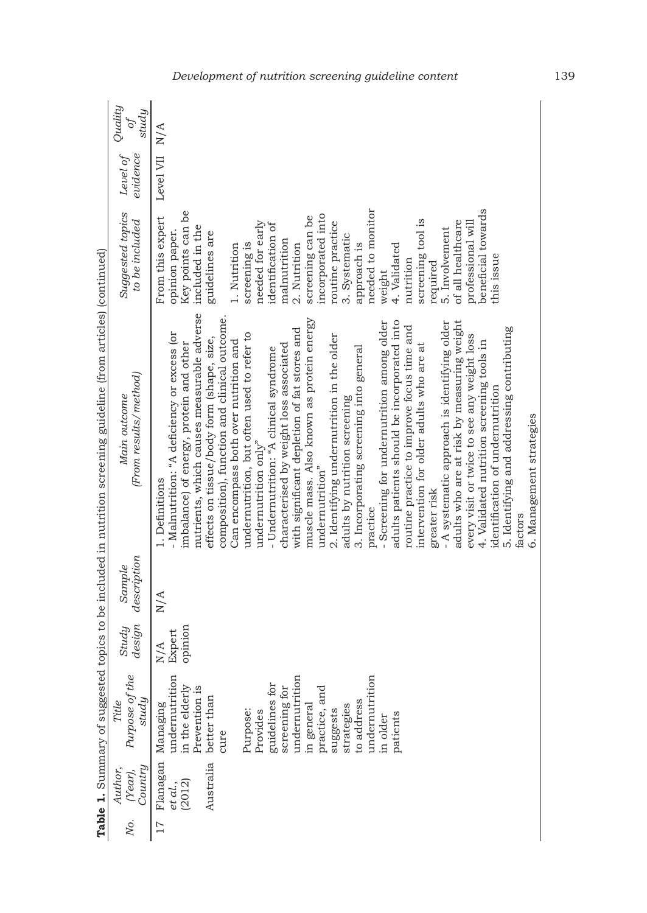|            | Quality<br>study<br>of                | N/A                                                                                                                                                                                                                                                                                                                                                                                                                                                                                                                                                                                                                                                                                                                                                                                                                                                                                                                                                                                                                                                                                                                                                                                                         |
|------------|---------------------------------------|-------------------------------------------------------------------------------------------------------------------------------------------------------------------------------------------------------------------------------------------------------------------------------------------------------------------------------------------------------------------------------------------------------------------------------------------------------------------------------------------------------------------------------------------------------------------------------------------------------------------------------------------------------------------------------------------------------------------------------------------------------------------------------------------------------------------------------------------------------------------------------------------------------------------------------------------------------------------------------------------------------------------------------------------------------------------------------------------------------------------------------------------------------------------------------------------------------------|
|            | Level of<br>evidence                  | Level VII                                                                                                                                                                                                                                                                                                                                                                                                                                                                                                                                                                                                                                                                                                                                                                                                                                                                                                                                                                                                                                                                                                                                                                                                   |
|            | Suggested topics<br>to be included    | beneficial towards<br>needed to monitor<br>Key points can be<br>incorporated into<br>From this expert<br>screening can be<br>screening tool is<br>of all healthcare<br>needed for early<br>routine practice<br>professional will<br>identification of<br>included in the<br>5. Involvement<br>opinion paper.<br>guidelines are<br>3. Systematic<br>malnutrition<br>screening is<br>approach is<br>4. Validated<br>2. Nutrition<br>1. Nutrition<br>this issue<br>nutrition<br>required<br>weight                                                                                                                                                                                                                                                                                                                                                                                                                                                                                                                                                                                                                                                                                                             |
| $^{\circ}$ | (From results/method)<br>Main outcome | nutrients, which causes measurable adverse<br>composition), function and clinical outcome.<br>muscle mass. Also known as protein energy<br>adults patients should be incorporated into<br>adults who are at risk by measuring weight<br>- A systematic approach is identifying older<br>- Screening for undernutrition among older<br>routine practice to improve focus time and<br>5. Identifying and addressing contributing<br>with significant depletion of fat stores and<br>- Malnutrition: "A deficiency or excess (or<br>undernutrition, but often used to refer to<br>every visit or twice to see any weight loss<br>2. Identifying undernutrition in the older<br>effects on tissue/body form (shape, size,<br>Can encompass both over nutrition and<br>4. Validated nutrition screening tools in<br>imbalance) of energy, protein and other<br>intervention for older adults who are at<br>characterised by weight loss associated<br>3. Incorporating screening into general<br>- Undernutrition: "A clinical syndrome<br>identification of undernutrition<br>adults by nutrition screening<br>undernutrition only"<br>undernutrition"<br>1. Definitions<br>greater risk<br>practice<br>factors |
|            | description<br>Sample                 | $\mathrm{N}/\mathrm{A}$                                                                                                                                                                                                                                                                                                                                                                                                                                                                                                                                                                                                                                                                                                                                                                                                                                                                                                                                                                                                                                                                                                                                                                                     |
|            | design<br>Study                       | opinion<br>Expert<br>N/A                                                                                                                                                                                                                                                                                                                                                                                                                                                                                                                                                                                                                                                                                                                                                                                                                                                                                                                                                                                                                                                                                                                                                                                    |
|            | Purpose of the<br>study<br>Title      | undernutrition<br>undernutrition<br>undernutrition<br>guidelines for<br>in the elderly<br>Prevention is<br>screening for<br>practice, and<br>better than<br>to address<br>Managing<br>in general<br>strategies<br>Purpose:<br>suggests<br>Provides<br>patients<br>in older<br>cure                                                                                                                                                                                                                                                                                                                                                                                                                                                                                                                                                                                                                                                                                                                                                                                                                                                                                                                          |
|            | Country<br>Author,<br>(Year),         | Australia<br>Flanagan<br>et al.,<br>(2012)                                                                                                                                                                                                                                                                                                                                                                                                                                                                                                                                                                                                                                                                                                                                                                                                                                                                                                                                                                                                                                                                                                                                                                  |
|            | Ņο.                                   | 17                                                                                                                                                                                                                                                                                                                                                                                                                                                                                                                                                                                                                                                                                                                                                                                                                                                                                                                                                                                                                                                                                                                                                                                                          |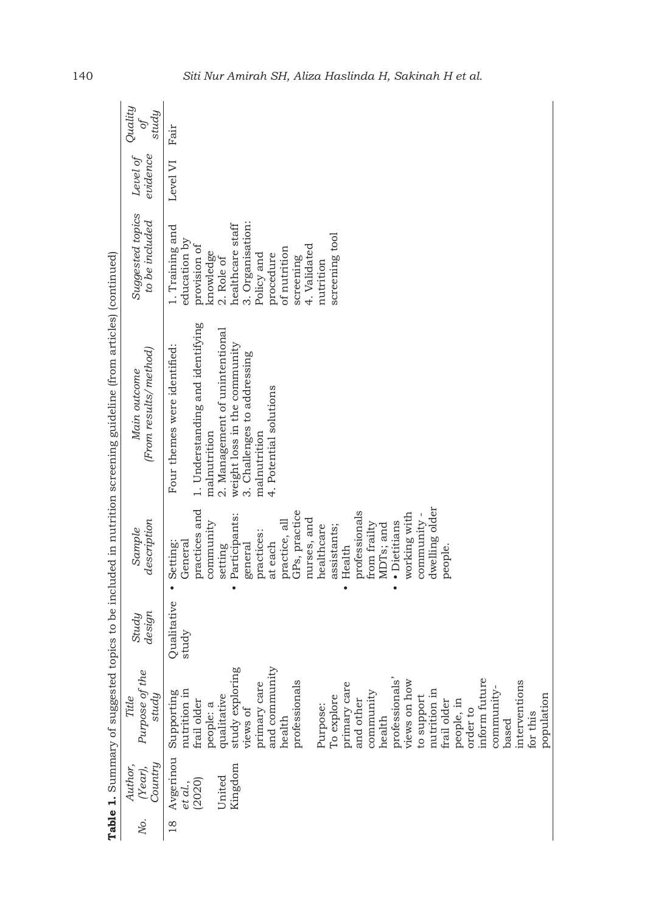|                                                                                                                  | Quality<br>study<br>$\tilde{\sigma}$<br>evidence<br>Level of | Fair<br>Level VI                                                                                                                                                                                                                                                                                                                                                                                                                          |
|------------------------------------------------------------------------------------------------------------------|--------------------------------------------------------------|-------------------------------------------------------------------------------------------------------------------------------------------------------------------------------------------------------------------------------------------------------------------------------------------------------------------------------------------------------------------------------------------------------------------------------------------|
|                                                                                                                  | Suggested topics<br>to be included                           | 3. Organisation:<br>healthcare staff<br>1. Training and                                                                                                                                                                                                                                                                                                                                                                                   |
|                                                                                                                  |                                                              | screening tool<br>education by<br>4. Validated<br>provision of<br>of nutrition<br>knowledge<br>Policy and<br>procedure<br>screening<br>2. Role of<br>nutrition                                                                                                                                                                                                                                                                            |
| Table 1. Summary of suggested topics to be included in nutrition screening guideline (from articles) (continued) | (From results/method)<br>Main outcome                        | 1. Understanding and identifying<br>2. Management of unintentional<br>Four themes were identified:<br>weight loss in the community<br>3. Challenges to addressing<br>4. Potential solutions<br>malnutrition<br>malnutrition                                                                                                                                                                                                               |
|                                                                                                                  | description<br>Sample                                        | dwelling older<br>practices and<br>GPs, practice<br>professionals<br>working with<br>community -<br>Participants:<br>nurses, and<br>practice, all<br>· Dietitians<br>community<br>from frailty<br>MDTs; and<br>assistants;<br>healthcare<br>practices:<br>General<br>Setting:<br>at each<br>general<br>setting<br>people.<br>Health<br>$\bullet$<br>$\bullet$<br>$\bullet$                                                                |
|                                                                                                                  | design<br>Study                                              | Qualitative<br>study                                                                                                                                                                                                                                                                                                                                                                                                                      |
|                                                                                                                  | Purpose of the<br>study<br>Title                             | study exploring<br>and community<br>inform future<br>professionals<br>professionals<br>primary care<br>interventions<br>views on how<br>primary care<br>community-<br>nutrition in<br>nutrition in<br>Supporting<br>community<br>population<br>qualitative<br>To explore<br>to support<br>frail older<br>and other<br>frail older<br>people, in<br>people: a<br>Purpose:<br>order to<br>views of<br>for this<br>health<br>health<br>based |
|                                                                                                                  | Country<br>Author,<br>(Year),                                | Avgerinou<br>Kingdom<br>United<br>(2020)<br>et al.,                                                                                                                                                                                                                                                                                                                                                                                       |
|                                                                                                                  | Ņο.                                                          | $\frac{8}{18}$                                                                                                                                                                                                                                                                                                                                                                                                                            |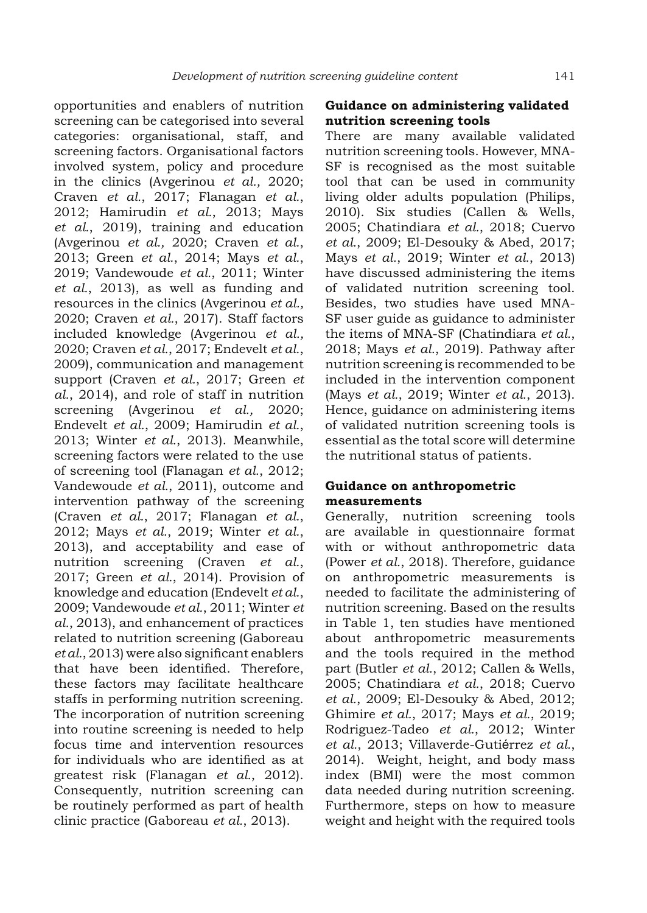opportunities and enablers of nutrition screening can be categorised into several categories: organisational, staff, and screening factors. Organisational factors involved system, policy and procedure in the clinics (Avgerinou *et al.,* 2020; Craven *et al.*, 2017; Flanagan *et al.*, 2012; Hamirudin *et al.*, 2013; Mays *et al.*, 2019), training and education (Avgerinou *et al.,* 2020; Craven *et al.*, 2013; Green *et al.*, 2014; Mays *et al.*, 2019; Vandewoude *et al.*, 2011; Winter *et al.*, 2013), as well as funding and resources in the clinics (Avgerinou *et al.,* 2020; Craven *et al.*, 2017). Staff factors included knowledge (Avgerinou *et al.,* 2020; Craven *et al.*, 2017; Endevelt *et al.*, 2009), communication and management support (Craven *et al.*, 2017; Green *et al.*, 2014), and role of staff in nutrition screening (Avgerinou *et al.,* 2020; Endevelt *et al.*, 2009; Hamirudin *et al.*, 2013; Winter *et al.*, 2013). Meanwhile, screening factors were related to the use of screening tool (Flanagan *et al.*, 2012; Vandewoude *et al.*, 2011), outcome and intervention pathway of the screening (Craven *et al.*, 2017; Flanagan *et al.*, 2012; Mays *et al.*, 2019; Winter *et al.*, 2013), and acceptability and ease of nutrition screening (Craven *et al.*, 2017; Green *et al.*, 2014). Provision of knowledge and education (Endevelt *et al.*, 2009; Vandewoude *et al.*, 2011; Winter *et al.*, 2013), and enhancement of practices related to nutrition screening (Gaboreau *et al.*, 2013) were also significant enablers that have been identified. Therefore, these factors may facilitate healthcare staffs in performing nutrition screening. The incorporation of nutrition screening into routine screening is needed to help focus time and intervention resources for individuals who are identified as at greatest risk (Flanagan *et al.*, 2012). Consequently, nutrition screening can be routinely performed as part of health clinic practice (Gaboreau *et al.*, 2013).

#### **Guidance on administering validated nutrition screening tools**

There are many available validated nutrition screening tools. However, MNA-SF is recognised as the most suitable tool that can be used in community living older adults population (Philips, 2010). Six studies (Callen & Wells, 2005; Chatindiara *et al.*, 2018; Cuervo *et al.*, 2009; El-Desouky & Abed, 2017; Mays *et al.*, 2019; Winter *et al.*, 2013) have discussed administering the items of validated nutrition screening tool. Besides, two studies have used MNA-SF user guide as guidance to administer the items of MNA-SF (Chatindiara *et al.*, 2018; Mays *et al.*, 2019). Pathway after nutrition screening is recommended to be included in the intervention component (Mays *et al.*, 2019; Winter *et al.*, 2013). Hence, guidance on administering items of validated nutrition screening tools is essential as the total score will determine the nutritional status of patients.

#### **Guidance on anthropometric measurements**

Generally, nutrition screening tools are available in questionnaire format with or without anthropometric data (Power *et al.*, 2018). Therefore, guidance on anthropometric measurements is needed to facilitate the administering of nutrition screening. Based on the results in Table 1, ten studies have mentioned about anthropometric measurements and the tools required in the method part (Butler *et al.*, 2012; Callen & Wells, 2005; Chatindiara *et al.*, 2018; Cuervo *et al.*, 2009; El-Desouky & Abed, 2012; Ghimire *et al.*, 2017; Mays *et al.*, 2019; Rodriguez-Tadeo *et al.*, 2012; Winter *et al.*, 2013; Villaverde-Gutiérrez *et al.*, 2014). Weight, height, and body mass index (BMI) were the most common data needed during nutrition screening. Furthermore, steps on how to measure weight and height with the required tools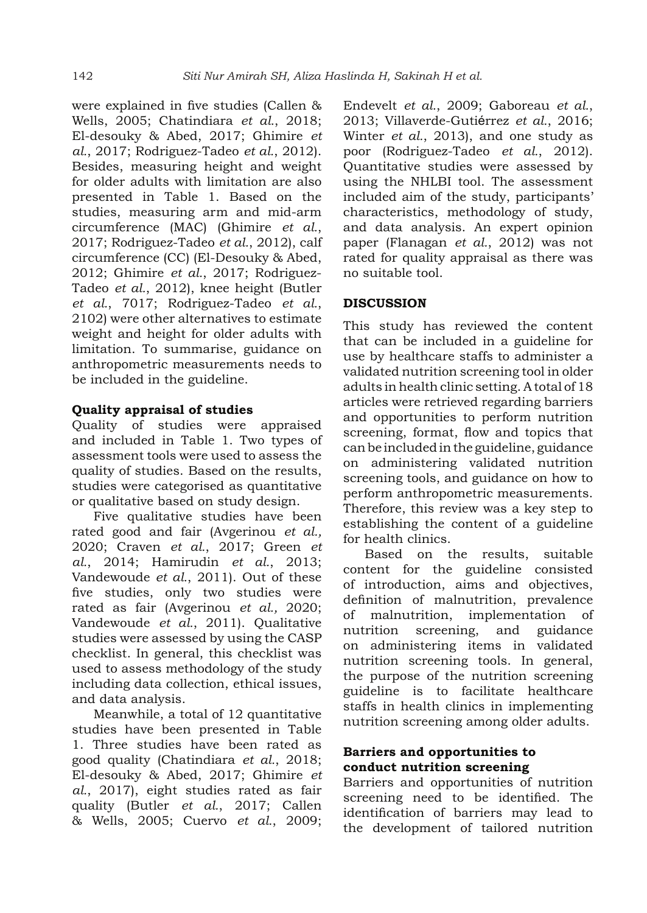were explained in five studies (Callen & Wells, 2005; Chatindiara *et al.*, 2018; El-desouky & Abed, 2017; Ghimire *et al.*, 2017; Rodriguez-Tadeo *et al.*, 2012). Besides, measuring height and weight for older adults with limitation are also presented in Table 1. Based on the studies, measuring arm and mid-arm circumference (MAC) (Ghimire *et al.*, 2017; Rodriguez-Tadeo *et al.*, 2012), calf circumference (CC) (El-Desouky & Abed, 2012; Ghimire *et al.*, 2017; Rodriguez-Tadeo *et al.*, 2012), knee height (Butler *et al.*, 7017; Rodriguez-Tadeo *et al.*, 2102) were other alternatives to estimate weight and height for older adults with limitation. To summarise, guidance on anthropometric measurements needs to be included in the guideline.

#### **Quality appraisal of studies**

Quality of studies were appraised and included in Table 1. Two types of assessment tools were used to assess the quality of studies. Based on the results, studies were categorised as quantitative or qualitative based on study design.

Five qualitative studies have been rated good and fair (Avgerinou *et al.,* 2020; Craven *et al.*, 2017; Green *et al.*, 2014; Hamirudin *et al.*, 2013; Vandewoude *et al.*, 2011). Out of these five studies, only two studies were rated as fair (Avgerinou *et al.,* 2020; Vandewoude *et al.*, 2011). Qualitative studies were assessed by using the CASP checklist. In general, this checklist was used to assess methodology of the study including data collection, ethical issues, and data analysis.

Meanwhile, a total of 12 quantitative studies have been presented in Table 1. Three studies have been rated as good quality (Chatindiara *et al.*, 2018; El-desouky & Abed, 2017; Ghimire *et al.*, 2017), eight studies rated as fair quality (Butler *et al.*, 2017; Callen & Wells, 2005; Cuervo *et al.*, 2009; Endevelt *et al.*, 2009; Gaboreau *et al.*, 2013; Villaverde-Gutiérrez *et al.*, 2016; Winter *et al.*, 2013), and one study as poor (Rodriguez-Tadeo *et al.*, 2012). Quantitative studies were assessed by using the NHLBI tool. The assessment included aim of the study, participants' characteristics, methodology of study, and data analysis. An expert opinion paper (Flanagan *et al.*, 2012) was not rated for quality appraisal as there was no suitable tool.

#### **DISCUSSION**

This study has reviewed the content that can be included in a guideline for use by healthcare staffs to administer a validated nutrition screening tool in older adults in health clinic setting. A total of 18 articles were retrieved regarding barriers and opportunities to perform nutrition screening, format, flow and topics that can be included in the guideline, guidance on administering validated nutrition screening tools, and guidance on how to perform anthropometric measurements. Therefore, this review was a key step to establishing the content of a guideline for health clinics.

Based on the results, suitable content for the guideline consisted of introduction, aims and objectives, definition of malnutrition, prevalence of malnutrition, implementation of nutrition screening, and guidance on administering items in validated nutrition screening tools. In general, the purpose of the nutrition screening guideline is to facilitate healthcare staffs in health clinics in implementing nutrition screening among older adults.

#### **Barriers and opportunities to conduct nutrition screening**

Barriers and opportunities of nutrition screening need to be identified. The identification of barriers may lead to the development of tailored nutrition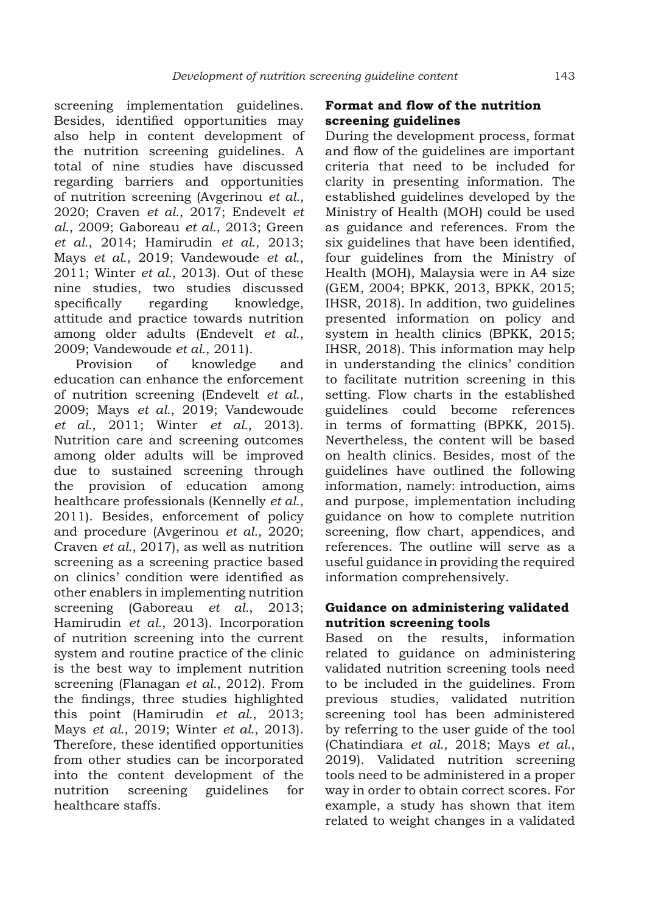screening implementation guidelines. Besides, identified opportunities may also help in content development of the nutrition screening guidelines. A total of nine studies have discussed regarding barriers and opportunities of nutrition screening (Avgerinou *et al.,* 2020; Craven *et al.*, 2017; Endevelt *et al.*, 2009; Gaboreau *et al.*, 2013; Green *et al.*, 2014; Hamirudin *et al.*, 2013; Mays *et al.*, 2019; Vandewoude *et al.*, 2011; Winter *et al.*, 2013). Out of these nine studies, two studies discussed specifically regarding knowledge, attitude and practice towards nutrition among older adults (Endevelt *et al.*, 2009; Vandewoude *et al.*, 2011).

Provision of knowledge and education can enhance the enforcement of nutrition screening (Endevelt *et al.*, 2009; Mays *et al.*, 2019; Vandewoude *et al.*, 2011; Winter *et al.*, 2013). Nutrition care and screening outcomes among older adults will be improved due to sustained screening through the provision of education among healthcare professionals (Kennelly *et al.*, 2011). Besides, enforcement of policy and procedure (Avgerinou *et al.,* 2020; Craven *et al.*, 2017), as well as nutrition screening as a screening practice based on clinics' condition were identified as other enablers in implementing nutrition screening (Gaboreau *et al.*, 2013; Hamirudin *et al.*, 2013). Incorporation of nutrition screening into the current system and routine practice of the clinic is the best way to implement nutrition screening (Flanagan *et al.*, 2012). From the findings, three studies highlighted this point (Hamirudin *et al.*, 2013; Mays *et al.*, 2019; Winter *et al.*, 2013). Therefore, these identified opportunities from other studies can be incorporated into the content development of the nutrition screening guidelines for healthcare staffs.

## **Format and flow of the nutrition screening guidelines**

During the development process, format and flow of the guidelines are important criteria that need to be included for clarity in presenting information. The established guidelines developed by the Ministry of Health (MOH) could be used as guidance and references. From the six guidelines that have been identified, four guidelines from the Ministry of Health (MOH), Malaysia were in A4 size (GEM, 2004; BPKK, 2013, BPKK, 2015; IHSR, 2018). In addition, two guidelines presented information on policy and system in health clinics (BPKK, 2015; IHSR, 2018). This information may help in understanding the clinics' condition to facilitate nutrition screening in this setting. Flow charts in the established guidelines could become references in terms of formatting (BPKK, 2015). Nevertheless, the content will be based on health clinics. Besides, most of the guidelines have outlined the following information, namely: introduction, aims and purpose, implementation including guidance on how to complete nutrition screening, flow chart, appendices, and references. The outline will serve as a useful guidance in providing the required information comprehensively.

#### **Guidance on administering validated nutrition screening tools**

Based on the results, information related to guidance on administering validated nutrition screening tools need to be included in the guidelines. From previous studies, validated nutrition screening tool has been administered by referring to the user guide of the tool (Chatindiara *et al.*, 2018; Mays *et al.*, 2019). Validated nutrition screening tools need to be administered in a proper way in order to obtain correct scores. For example, a study has shown that item related to weight changes in a validated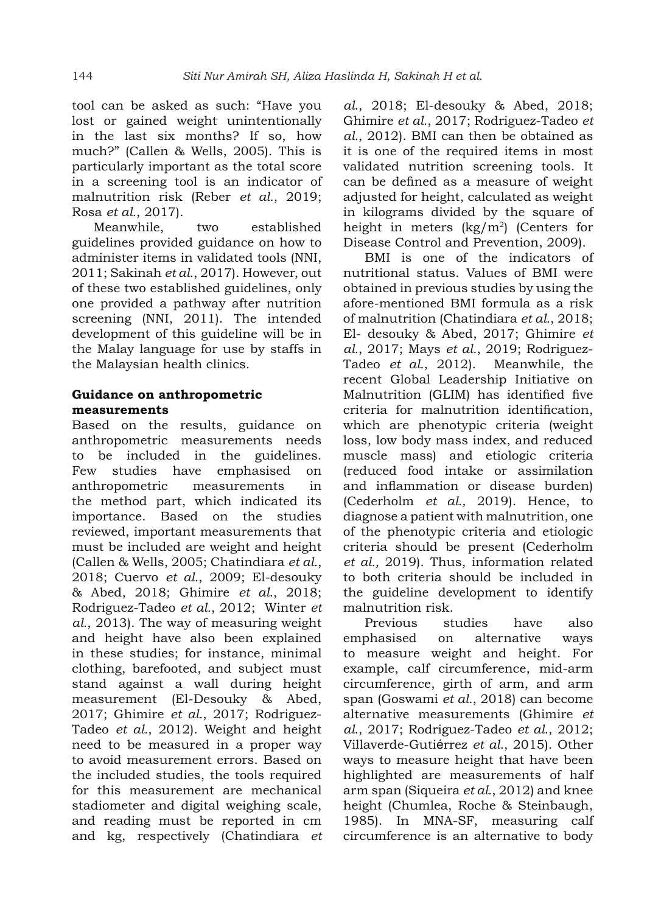tool can be asked as such: "Have you lost or gained weight unintentionally in the last six months? If so, how much?" (Callen & Wells, 2005). This is particularly important as the total score in a screening tool is an indicator of malnutrition risk (Reber *et al.*, 2019; Rosa *et al.*, 2017).

Meanwhile, two established guidelines provided guidance on how to administer items in validated tools (NNI, 2011; Sakinah *et al.*, 2017). However, out of these two established guidelines, only one provided a pathway after nutrition screening (NNI, 2011). The intended development of this guideline will be in the Malay language for use by staffs in the Malaysian health clinics.

#### **Guidance on anthropometric measurements**

Based on the results, guidance on anthropometric measurements needs to be included in the guidelines. Few studies have emphasised on anthropometric measurements in the method part, which indicated its importance. Based on the studies reviewed, important measurements that must be included are weight and height (Callen & Wells, 2005; Chatindiara *et al.*, 2018; Cuervo *et al.*, 2009; El-desouky & Abed, 2018; Ghimire *et al.*, 2018; Rodriguez-Tadeo *et al.*, 2012; Winter *et al.*, 2013). The way of measuring weight and height have also been explained in these studies; for instance, minimal clothing, barefooted, and subject must stand against a wall during height measurement (El-Desouky & Abed, 2017; Ghimire *et al.*, 2017; Rodriguez-Tadeo *et al.*, 2012). Weight and height need to be measured in a proper way to avoid measurement errors. Based on the included studies, the tools required for this measurement are mechanical stadiometer and digital weighing scale, and reading must be reported in cm and kg, respectively (Chatindiara *et*  *al.*, 2018; El-desouky & Abed, 2018; Ghimire *et al.*, 2017; Rodriguez-Tadeo *et al.*, 2012). BMI can then be obtained as it is one of the required items in most validated nutrition screening tools. It can be defined as a measure of weight adjusted for height, calculated as weight in kilograms divided by the square of height in meters  $(kg/m^2)$  (Centers for Disease Control and Prevention, 2009).

BMI is one of the indicators of nutritional status. Values of BMI were obtained in previous studies by using the afore-mentioned BMI formula as a risk of malnutrition (Chatindiara *et al.*, 2018; El- desouky & Abed, 2017; Ghimire *et al.*, 2017; Mays *et al.*, 2019; Rodriguez-Tadeo *et al.*, 2012). Meanwhile, the recent Global Leadership Initiative on Malnutrition (GLIM) has identified five criteria for malnutrition identification, which are phenotypic criteria (weight loss, low body mass index, and reduced muscle mass) and etiologic criteria (reduced food intake or assimilation and inflammation or disease burden) (Cederholm *et al.,* 2019). Hence, to diagnose a patient with malnutrition, one of the phenotypic criteria and etiologic criteria should be present (Cederholm *et al.,* 2019). Thus, information related to both criteria should be included in the guideline development to identify malnutrition risk.

Previous studies have also emphasised on alternative ways to measure weight and height. For example, calf circumference, mid-arm circumference, girth of arm, and arm span (Goswami *et al.*, 2018) can become alternative measurements (Ghimire *et al.*, 2017; Rodriguez-Tadeo *et al.*, 2012; Villaverde-Gutiérrez *et al.*, 2015). Other ways to measure height that have been highlighted are measurements of half arm span (Siqueira *et al.*, 2012) and knee height (Chumlea, Roche & Steinbaugh, 1985). In MNA-SF, measuring calf circumference is an alternative to body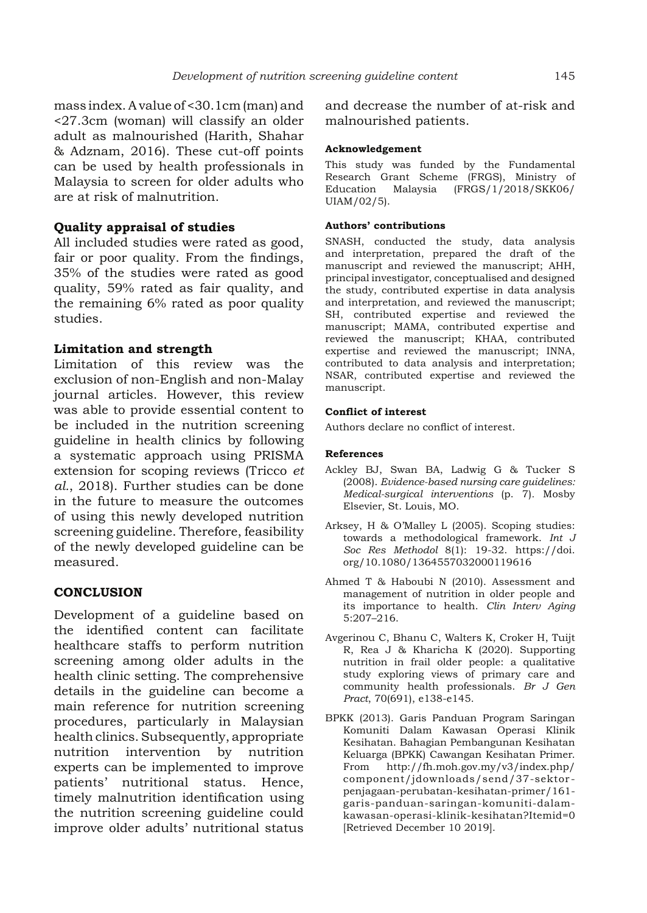mass index. A value of <30.1cm (man) and <27.3cm (woman) will classify an older adult as malnourished (Harith, Shahar & Adznam, 2016). These cut-off points can be used by health professionals in Malaysia to screen for older adults who are at risk of malnutrition.

#### **Quality appraisal of studies**

All included studies were rated as good, fair or poor quality. From the findings, 35% of the studies were rated as good quality, 59% rated as fair quality, and the remaining 6% rated as poor quality studies.

#### **Limitation and strength**

Limitation of this review was the exclusion of non-English and non-Malay journal articles. However, this review was able to provide essential content to be included in the nutrition screening guideline in health clinics by following a systematic approach using PRISMA extension for scoping reviews (Tricco *et al.*, 2018). Further studies can be done in the future to measure the outcomes of using this newly developed nutrition screening guideline. Therefore, feasibility of the newly developed guideline can be measured.

#### **CONCLUSION**

Development of a guideline based on the identified content can facilitate healthcare staffs to perform nutrition screening among older adults in the health clinic setting. The comprehensive details in the guideline can become a main reference for nutrition screening procedures, particularly in Malaysian health clinics. Subsequently, appropriate nutrition intervention by nutrition experts can be implemented to improve patients' nutritional status. Hence, timely malnutrition identification using the nutrition screening guideline could improve older adults' nutritional status

and decrease the number of at-risk and malnourished patients.

#### **Acknowledgement**

This study was funded by the Fundamental Research Grant Scheme (FRGS), Ministry of Education Malaysia (FRGS/1/2018/SKK06/ UIAM/02/5).

#### **Authors' contributions**

SNASH, conducted the study, data analysis and interpretation, prepared the draft of the manuscript and reviewed the manuscript; AHH, principal investigator, conceptualised and designed the study, contributed expertise in data analysis and interpretation, and reviewed the manuscript; SH, contributed expertise and reviewed the manuscript; MAMA, contributed expertise and reviewed the manuscript; KHAA, contributed expertise and reviewed the manuscript; INNA, contributed to data analysis and interpretation; NSAR, contributed expertise and reviewed the manuscript.

#### **Conflict of interest**

Authors declare no conflict of interest.

#### **References**

- Ackley BJ, Swan BA, Ladwig G & Tucker S (2008). *Evidence-based nursing care guidelines: Medical-surgical interventions* (p. 7)*.* Mosby Elsevier, St. Louis, MO.
- Arksey, H & O'Malley L (2005). Scoping studies: towards a methodological framework. *Int J Soc Res Methodol* 8(1): 19-32. https://doi. org/10.1080/1364557032000119616
- Ahmed T & Haboubi N (2010). Assessment and management of nutrition in older people and its importance to health. *Clin Interv Aging* 5:207–216.
- Avgerinou C, Bhanu C, Walters K, Croker H, Tuijt R, Rea J & Kharicha K (2020). Supporting nutrition in frail older people: a qualitative study exploring views of primary care and community health professionals. *Br J Gen Pract*, 70(691), e138-e145.
- BPKK (2013). Garis Panduan Program Saringan Komuniti Dalam Kawasan Operasi Klinik Kesihatan. Bahagian Pembangunan Kesihatan Keluarga (BPKK) Cawangan Kesihatan Primer. From http://fh.moh.gov.my/v3/index.php/ component/jdownloads/send/37-sektorpenjagaan-perubatan-kesihatan-primer/161 garis-panduan-saringan-komuniti-dalamkawasan-operasi-klinik-kesihatan?Itemid=0 [Retrieved December 10 2019].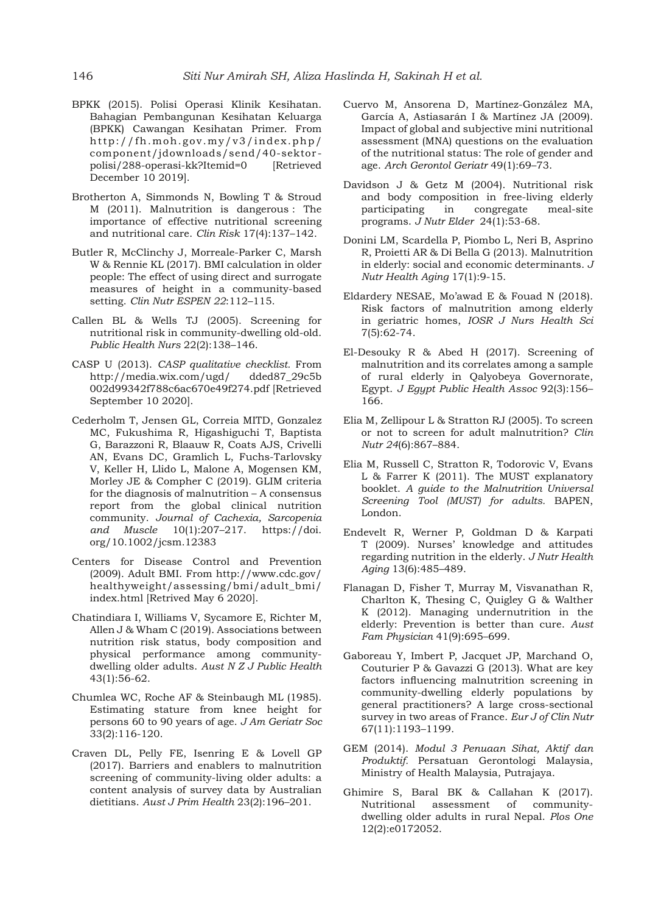- BPKK (2015). Polisi Operasi Klinik Kesihatan. Bahagian Pembangunan Kesihatan Keluarga (BPKK) Cawangan Kesihatan Primer. From http://fh.moh.gov.my/v3/index.php/ component/jdownloads/send/40-sektorpolisi/288-operasi-kk?Itemid=0 [Retrieved December 10 2019].
- Brotherton A, Simmonds N, Bowling T & Stroud M (2011). Malnutrition is dangerous : The importance of effective nutritional screening and nutritional care. *Clin Risk* 17(4):137–142.
- Butler R, McClinchy J, Morreale-Parker C, Marsh W & Rennie KL (2017). BMI calculation in older people: The effect of using direct and surrogate measures of height in a community-based setting. *Clin Nutr ESPEN 22*:112–115.
- Callen BL & Wells TJ (2005). Screening for nutritional risk in community-dwelling old-old. *Public Health Nurs* 22(2):138–146.
- CASP U (2013). *CASP qualitative checklist.* From http://media.wix.com/ugd/ dded87\_29c5b 002d99342f788c6ac670e49f274.pdf [Retrieved September 10 2020].
- Cederholm T, Jensen GL, Correia MITD, Gonzalez MC, Fukushima R, Higashiguchi T, Baptista G, Barazzoni R, Blaauw R, Coats AJS, Crivelli AN, Evans DC, Gramlich L, Fuchs-Tarlovsky V, Keller H, Llido L, Malone A, Mogensen KM, Morley JE & Compher C (2019). GLIM criteria for the diagnosis of malnutrition – A consensus report from the global clinical nutrition community. *Journal of Cachexia, Sarcopenia and Muscle* 10(1):207–217. https://doi. org/10.1002/jcsm.12383
- Centers for Disease Control and Prevention (2009). Adult BMI. From http://www.cdc.gov/ healthyweight/assessing/bmi/adult\_bmi/ index.html [Retrived May 6 2020].
- Chatindiara I, Williams V, Sycamore E, Richter M, Allen J & Wham C (2019). Associations between nutrition risk status, body composition and physical performance among communitydwelling older adults. *Aust N Z J Public Health*  43(1):56-62.
- Chumlea WC, Roche AF & Steinbaugh ML (1985). Estimating stature from knee height for persons 60 to 90 years of age. *J Am Geriatr Soc* 33(2):116-120.
- Craven DL, Pelly FE, Isenring E & Lovell GP (2017). Barriers and enablers to malnutrition screening of community-living older adults: a content analysis of survey data by Australian dietitians. *Aust J Prim Health* 23(2):196–201.
- Cuervo M, Ansorena D, Martínez-González MA, García A, Astiasarán I & Martínez JA (2009). Impact of global and subjective mini nutritional assessment (MNA) questions on the evaluation of the nutritional status: The role of gender and age. *Arch Gerontol Geriatr* 49(1):69–73.
- Davidson J & Getz M (2004). Nutritional risk and body composition in free-living elderly participating in congregate meal-site programs. *J Nutr Elder* 24(1):53-68.
- Donini LM, Scardella P, Piombo L, Neri B, Asprino R, Proietti AR & Di Bella G (2013). Malnutrition in elderly: social and economic determinants. *J Nutr Health Aging* 17(1):9-15.
- Eldardery NESAE, Mo'awad E & Fouad N (2018). Risk factors of malnutrition among elderly in geriatric homes, *IOSR J Nurs Health Sci*  7(5):62-74.
- El-Desouky R & Abed H (2017). Screening of malnutrition and its correlates among a sample of rural elderly in Qalyobeya Governorate, Egypt. *J Egypt Public Health Assoc* 92(3):156– 166.
- Elia M, Zellipour L & Stratton RJ (2005). To screen or not to screen for adult malnutrition? *Clin Nutr 24*(6):867–884.
- Elia M, Russell C, Stratton R, Todorovic V, Evans L & Farrer K (2011). The MUST explanatory booklet. *A guide to the Malnutrition Universal Screening Tool (MUST) for adults.* BAPEN, London.
- Endevelt R, Werner P, Goldman D & Karpati T (2009). Nurses' knowledge and attitudes regarding nutrition in the elderly. *J Nutr Health Aging* 13(6):485–489.
- Flanagan D, Fisher T, Murray M, Visvanathan R, Charlton K, Thesing C, Quigley G & Walther K (2012). Managing undernutrition in the elderly: Prevention is better than cure. *Aust Fam Physician* 41(9):695–699.
- Gaboreau Y, Imbert P, Jacquet JP, Marchand O, Couturier P & Gavazzi G (2013). What are key factors influencing malnutrition screening in community-dwelling elderly populations by general practitioners? A large cross-sectional survey in two areas of France. *Eur J of Clin Nutr* 67(11):1193–1199.
- GEM (2014). *Modul 3 Penuaan Sihat, Aktif dan Produktif.* Persatuan Gerontologi Malaysia, Ministry of Health Malaysia, Putrajaya.
- Ghimire S, Baral BK & Callahan K (2017). Nutritional assessment of communitydwelling older adults in rural Nepal. *Plos One* 12(2):e0172052.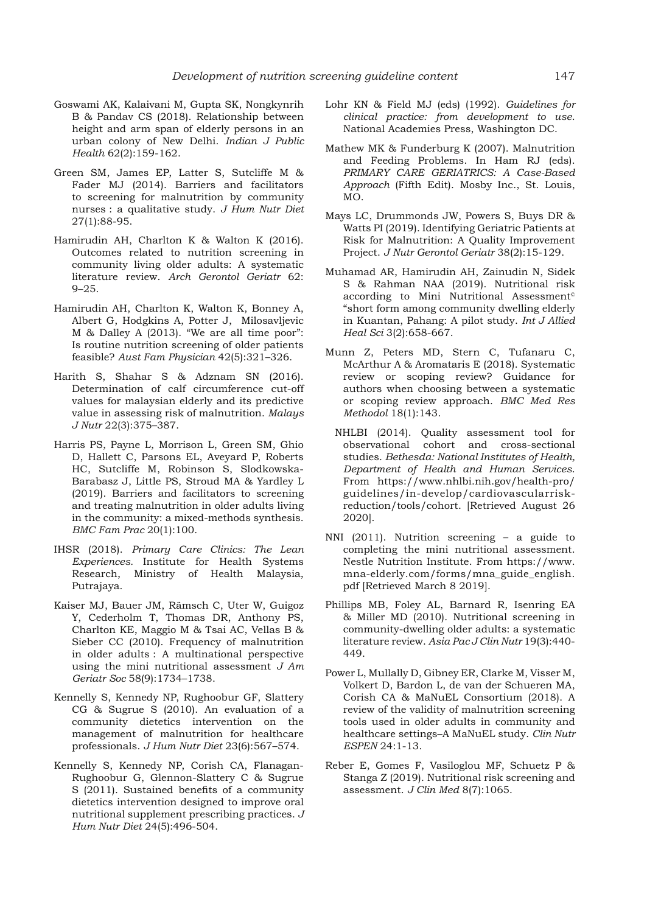- Goswami AK, Kalaivani M, Gupta SK, Nongkynrih B & Pandav CS (2018). Relationship between height and arm span of elderly persons in an urban colony of New Delhi. *Indian J Public Health* 62(2):159-162.
- Green SM, James EP, Latter S, Sutcliffe M & Fader MJ (2014). Barriers and facilitators to screening for malnutrition by community nurses : a qualitative study. *J Hum Nutr Diet*  27(1):88-95.
- Hamirudin AH, Charlton K & Walton K (2016). Outcomes related to nutrition screening in community living older adults: A systematic literature review. *Arch Gerontol Geriatr* 62: 9–25.
- Hamirudin AH, Charlton K, Walton K, Bonney A, Albert G, Hodgkins A, Potter J, Milosavljevic M & Dalley A (2013). "We are all time poor": Is routine nutrition screening of older patients feasible? *Aust Fam Physician* 42(5):321–326.
- Harith S, Shahar S & Adznam SN (2016). Determination of calf circumference cut-off values for malaysian elderly and its predictive value in assessing risk of malnutrition. *Malays J Nutr* 22(3):375–387.
- Harris PS, Payne L, Morrison L, Green SM, Ghio D, Hallett C, Parsons EL, Aveyard P, Roberts HC, Sutcliffe M, Robinson S, Slodkowska-Barabasz J, Little PS, Stroud MA & Yardley L (2019). Barriers and facilitators to screening and treating malnutrition in older adults living in the community: a mixed-methods synthesis. *BMC Fam Prac* 20(1):100.
- IHSR (2018). *Primary Care Clinics: The Lean Experiences.* Institute for Health Systems Research, Ministry of Health Malaysia, Putrajaya.
- Kaiser MJ, Bauer JM, Rämsch C, Uter W, Guigoz Y, Cederholm T, Thomas DR, Anthony PS, Charlton KE, Maggio M & Tsai AC, Vellas B & Sieber CC (2010). Frequency of malnutrition in older adults : A multinational perspective using the mini nutritional assessment *J Am Geriatr Soc* 58(9):1734–1738.
- Kennelly S, Kennedy NP, Rughoobur GF, Slattery CG & Sugrue S (2010). An evaluation of a community dietetics intervention on the management of malnutrition for healthcare professionals. *J Hum Nutr Diet* 23(6):567–574.
- Kennelly S, Kennedy NP, Corish CA, Flanagan-Rughoobur G, Glennon-Slattery C & Sugrue S (2011). Sustained benefits of a community dietetics intervention designed to improve oral nutritional supplement prescribing practices. *J Hum Nutr Diet* 24(5):496-504.
- Lohr KN & Field MJ (eds) (1992). *Guidelines for clinical practice: from development to use*. National Academies Press, Washington DC.
- Mathew MK & Funderburg K (2007). Malnutrition and Feeding Problems. In Ham RJ (eds). *PRIMARY CARE GERIATRICS: A Case-Based Approach* (Fifth Edit). Mosby Inc., St. Louis, MO.
- Mays LC, Drummonds JW, Powers S, Buys DR & Watts PI (2019). Identifying Geriatric Patients at Risk for Malnutrition: A Quality Improvement Project. *J Nutr Gerontol Geriatr* 38(2):15-129.
- Muhamad AR, Hamirudin AH, Zainudin N, Sidek S & Rahman NAA (2019). Nutritional risk according to Mini Nutritional Assessment© "short form among community dwelling elderly in Kuantan, Pahang: A pilot study. *Int J Allied Heal Sci* 3(2):658-667.
- Munn Z, Peters MD, Stern C, Tufanaru C, McArthur A & Aromataris E (2018). Systematic review or scoping review? Guidance for authors when choosing between a systematic or scoping review approach. *BMC Med Res Methodol* 18(1):143.
	- NHLBI (2014). Quality assessment tool for observational cohort and cross-sectional studies. *Bethesda: National Institutes of Health, Department of Health and Human Services*. From https://www.nhlbi.nih.gov/health-pro/ guidelines/in-develop/cardiovascularriskreduction/tools/cohort. [Retrieved August 26 2020].
- NNI (2011). Nutrition screening a guide to completing the mini nutritional assessment. Nestle Nutrition Institute. From https://www. mna-elderly.com/forms/mna\_guide\_english. pdf [Retrieved March 8 2019].
- Phillips MB, Foley AL, Barnard R, Isenring EA & Miller MD (2010). Nutritional screening in community-dwelling older adults: a systematic literature review. *Asia Pac J Clin Nutr* 19(3):440- 449.
- Power L, Mullally D, Gibney ER, Clarke M, Visser M, Volkert D, Bardon L, de van der Schueren MA, Corish CA & MaNuEL Consortium (2018). A review of the validity of malnutrition screening tools used in older adults in community and healthcare settings–A MaNuEL study. *Clin Nutr ESPEN* 24:1-13.
- Reber E, Gomes F, Vasiloglou MF, Schuetz P & Stanga Z (2019). Nutritional risk screening and assessment. *J Clin Med* 8(7):1065.